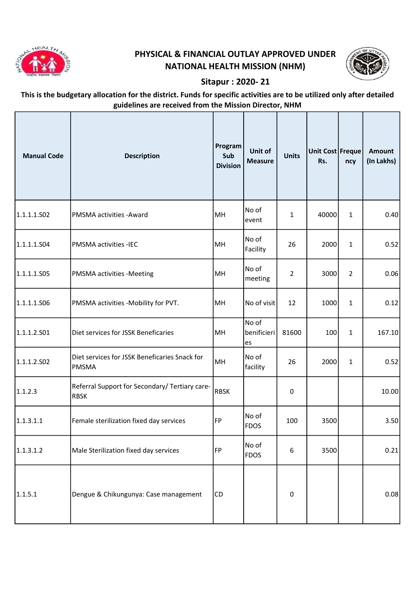

## PHYSICAL & FINANCIAL OUTLAY APPROVED UNDER NATIONAL HEALTH MISSION (NHM)



## Sitapur : 2020- 21

## This is the budgetary allocation for the district. Funds for specific activities are to be utilized only after detailed guidelines are received from the Mission Director, NHM

| <b>Manual Code</b> | <b>Description</b>                                            | Program<br>Sub<br><b>Division</b> | Unit of<br><b>Measure</b>  | <b>Units</b>     | Unit Cost Freque<br>Rs. | ncy            | <b>Amount</b><br>(In Lakhs) |
|--------------------|---------------------------------------------------------------|-----------------------------------|----------------------------|------------------|-------------------------|----------------|-----------------------------|
| 1.1.1.1.502        | PMSMA activities - Award                                      | MH                                | No of<br>event             | $\mathbf{1}$     | 40000                   | $\mathbf{1}$   | 0.40                        |
| 1.1.1.1.504        | PMSMA activities -IEC                                         | MH                                | No of<br>Facility          | 26               | 2000                    | $\mathbf{1}$   | 0.52                        |
| 1.1.1.1.505        | <b>PMSMA activities -Meeting</b>                              | MH                                | No of<br>meeting           | $\overline{2}$   | 3000                    | $\overline{2}$ | 0.06                        |
| 1.1.1.1.506        | PMSMA activities -Mobility for PVT.                           | MH                                | No of visit                | 12               | 1000                    | $\mathbf{1}$   | 0.12                        |
| 1.1.1.2.501        | Diet services for JSSK Beneficaries                           | MH                                | No of<br>benificieri<br>es | 81600            | 100                     | $\mathbf{1}$   | 167.10                      |
| 1.1.1.2.502        | Diet services for JSSK Beneficaries Snack for<br><b>PMSMA</b> | MH                                | No of<br>facility          | 26               | 2000                    | $\mathbf{1}$   | 0.52                        |
| 1.1.2.3            | Referral Support for Secondary/ Tertiary care-<br><b>RBSK</b> | <b>RBSK</b>                       |                            | 0                |                         |                | 10.00                       |
| 1.1.3.1.1          | Female sterilization fixed day services                       | FP                                | No of<br><b>FDOS</b>       | 100              | 3500                    |                | 3.50                        |
| 1.1.3.1.2          | Male Sterilization fixed day services                         | FP                                | No of<br><b>FDOS</b>       | $\boldsymbol{6}$ | 3500                    |                | 0.21                        |
| 1.1.5.1            | Dengue & Chikungunya: Case management                         | <b>CD</b>                         |                            | $\mathbf 0$      |                         |                | 0.08                        |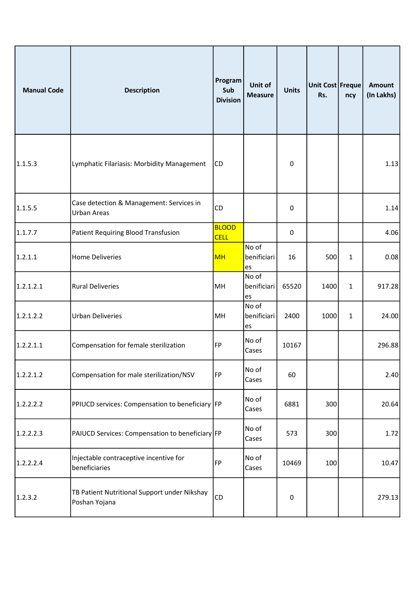| <b>Manual Code</b> | <b>Description</b>                                             | Program<br>Sub<br><b>Division</b> | Unit of<br><b>Measure</b>  | <b>Units</b>     | Unit Cost Freque<br>Rs. | ncy          | <b>Amount</b><br>(In Lakhs) |
|--------------------|----------------------------------------------------------------|-----------------------------------|----------------------------|------------------|-------------------------|--------------|-----------------------------|
| 1.1.5.3            | Lymphatic Filariasis: Morbidity Management                     | CD                                |                            | $\mathbf 0$      |                         |              | 1.13                        |
| 1.1.5.5            | Case detection & Management: Services in<br><b>Urban Areas</b> | CD                                |                            | 0                |                         |              | 1.14                        |
| 1.1.7.7            | <b>Patient Requiring Blood Transfusion</b>                     | <b>BLOOD</b><br><b>CELL</b>       |                            | 0                |                         |              | 4.06                        |
| 1.2.1.1            | <b>Home Deliveries</b>                                         | <b>MH</b>                         | No of<br>benificiari<br>es | 16               | 500                     | $\mathbf{1}$ | 0.08                        |
| 1.2.1.2.1          | <b>Rural Deliveries</b>                                        | MH                                | No of<br>benificiari<br>es | 65520            | 1400                    | $\mathbf{1}$ | 917.28                      |
| 1.2.1.2.2          | <b>Urban Deliveries</b>                                        | MH                                | No of<br>benificiari<br>es | 2400             | 1000                    | $\mathbf{1}$ | 24.00                       |
| 1.2.2.1.1          | Compensation for female sterilization                          | FP                                | No of<br>Cases             | 10167            |                         |              | 296.88                      |
| 1.2.2.1.2          | Compensation for male sterilization/NSV                        | FP                                | No of<br>Cases             | 60               |                         |              | 2.40                        |
| 1.2.2.2.2          | PPIUCD services: Compensation to beneficiary FP                |                                   | No of<br>Cases             | 6881             | 300                     |              | 20.64                       |
| 1.2.2.2.3          | PAIUCD Services: Compensation to beneficiary FP                |                                   | No of<br>Cases             | 573              | 300                     |              | 1.72                        |
| 1.2.2.2.4          | Injectable contraceptive incentive for<br>beneficiaries        | FP                                | No of<br>Cases             | 10469            | 100                     |              | 10.47                       |
| 1.2.3.2            | TB Patient Nutritional Support under Nikshay<br>Poshan Yojana  | CD                                |                            | $\boldsymbol{0}$ |                         |              | 279.13                      |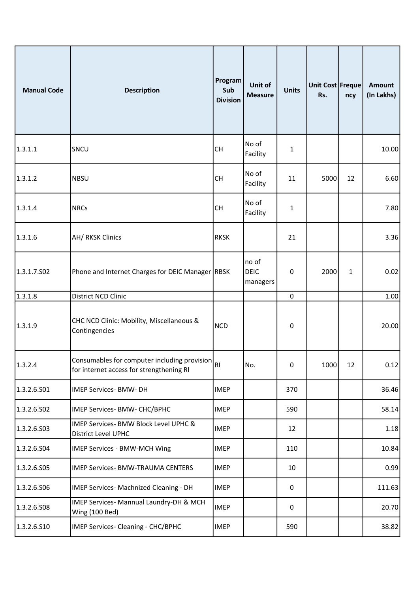| <b>Manual Code</b> | <b>Description</b>                                                                       | Program<br>Sub<br><b>Division</b> | Unit of<br><b>Measure</b>        | <b>Units</b> | Unit Cost Freque<br>Rs. | ncy | <b>Amount</b><br>(In Lakhs) |
|--------------------|------------------------------------------------------------------------------------------|-----------------------------------|----------------------------------|--------------|-------------------------|-----|-----------------------------|
| 1.3.1.1            | SNCU                                                                                     | <b>CH</b>                         | No of<br>Facility                | 1            |                         |     | 10.00                       |
| 1.3.1.2            | <b>NBSU</b>                                                                              | <b>CH</b>                         | No of<br>Facility                | 11           | 5000                    | 12  | 6.60                        |
| 1.3.1.4            | <b>NRCs</b>                                                                              | <b>CH</b>                         | No of<br>Facility                | 1            |                         |     | 7.80                        |
| 1.3.1.6            | <b>AH/ RKSK Clinics</b>                                                                  | <b>RKSK</b>                       |                                  | 21           |                         |     | 3.36                        |
| 1.3.1.7.502        | Phone and Internet Charges for DEIC Manager RBSK                                         |                                   | no of<br><b>DEIC</b><br>managers | 0            | 2000                    | 1   | 0.02                        |
| 1.3.1.8            | District NCD Clinic                                                                      |                                   |                                  | $\mathbf 0$  |                         |     | 1.00                        |
| 1.3.1.9            | CHC NCD Clinic: Mobility, Miscellaneous &<br>Contingencies                               | <b>NCD</b>                        |                                  | 0            |                         |     | 20.00                       |
| 1.3.2.4            | Consumables for computer including provision<br>for internet access for strengthening RI | RI                                | No.                              | 0            | 1000                    | 12  | 0.12                        |
| 1.3.2.6.501        | <b>IMEP Services- BMW- DH</b>                                                            | <b>IMEP</b>                       |                                  | 370          |                         |     | 36.46                       |
| 1.3.2.6.502        | IMEP Services- BMW- CHC/BPHC                                                             | <b>IMEP</b>                       |                                  | 590          |                         |     | 58.14                       |
| 1.3.2.6.503        | IMEP Services- BMW Block Level UPHC &<br>District Level UPHC                             | <b>IMEP</b>                       |                                  | 12           |                         |     | 1.18                        |
| 1.3.2.6.504        | IMEP Services - BMW-MCH Wing                                                             | <b>IMEP</b>                       |                                  | 110          |                         |     | 10.84                       |
| 1.3.2.6.S05        | IMEP Services- BMW-TRAUMA CENTERS                                                        | <b>IMEP</b>                       |                                  | 10           |                         |     | 0.99                        |
| 1.3.2.6.506        | IMEP Services- Machnized Cleaning - DH                                                   | <b>IMEP</b>                       |                                  | 0            |                         |     | 111.63                      |
| 1.3.2.6.508        | IMEP Services- Mannual Laundry-DH & MCH<br>Wing (100 Bed)                                | <b>IMEP</b>                       |                                  | $\mathbf 0$  |                         |     | 20.70                       |
| 1.3.2.6.510        | IMEP Services- Cleaning - CHC/BPHC                                                       | <b>IMEP</b>                       |                                  | 590          |                         |     | 38.82                       |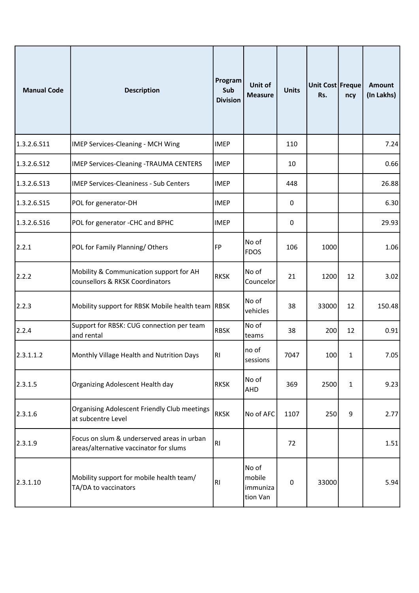| <b>Manual Code</b> | <b>Description</b>                                                                   | Program<br>Sub<br><b>Division</b> | Unit of<br><b>Measure</b>               | <b>Units</b> | Unit Cost Freque<br>Rs. | ncy | <b>Amount</b><br>(In Lakhs) |
|--------------------|--------------------------------------------------------------------------------------|-----------------------------------|-----------------------------------------|--------------|-------------------------|-----|-----------------------------|
| 1.3.2.6.511        | IMEP Services-Cleaning - MCH Wing                                                    | <b>IMEP</b>                       |                                         | 110          |                         |     | 7.24                        |
| 1.3.2.6.512        | <b>IMEP Services-Cleaning -TRAUMA CENTERS</b>                                        | <b>IMEP</b>                       |                                         | 10           |                         |     | 0.66                        |
| 1.3.2.6.513        | <b>IMEP Services-Cleaniness - Sub Centers</b>                                        | <b>IMEP</b>                       |                                         | 448          |                         |     | 26.88                       |
| 1.3.2.6.S15        | POL for generator-DH                                                                 | <b>IMEP</b>                       |                                         | 0            |                         |     | 6.30                        |
| 1.3.2.6.516        | POL for generator -CHC and BPHC                                                      | <b>IMEP</b>                       |                                         | 0            |                         |     | 29.93                       |
| 2.2.1              | POL for Family Planning/Others                                                       | FP                                | No of<br><b>FDOS</b>                    | 106          | 1000                    |     | 1.06                        |
| 2.2.2              | Mobility & Communication support for AH<br>counsellors & RKSK Coordinators           | <b>RKSK</b>                       | No of<br>Councelor                      | 21           | 1200                    | 12  | 3.02                        |
| 2.2.3              | Mobility support for RBSK Mobile health team RBSK                                    |                                   | No of<br>vehicles                       | 38           | 33000                   | 12  | 150.48                      |
| 2.2.4              | Support for RBSK: CUG connection per team<br>and rental                              | <b>RBSK</b>                       | No of<br>teams                          | 38           | 200                     | 12  | 0.91                        |
| 2.3.1.1.2          | Monthly Village Health and Nutrition Days                                            | R <sub>1</sub>                    | no of<br>sessions                       | 7047         | 100                     | 1   | 7.05                        |
| 2.3.1.5            | Organizing Adolescent Health day                                                     | <b>RKSK</b>                       | No of<br>AHD                            | 369          | 2500                    | 1   | 9.23                        |
| 2.3.1.6            | <b>Organising Adolescent Friendly Club meetings</b><br>at subcentre Level            | <b>RKSK</b>                       | No of AFC                               | 1107         | 250                     | 9   | 2.77                        |
| 2.3.1.9            | Focus on slum & underserved areas in urban<br>areas/alternative vaccinator for slums | RI                                |                                         | 72           |                         |     | 1.51                        |
| 2.3.1.10           | Mobility support for mobile health team/<br>TA/DA to vaccinators                     | RI                                | No of<br>mobile<br>immuniza<br>tion Van | 0            | 33000                   |     | 5.94                        |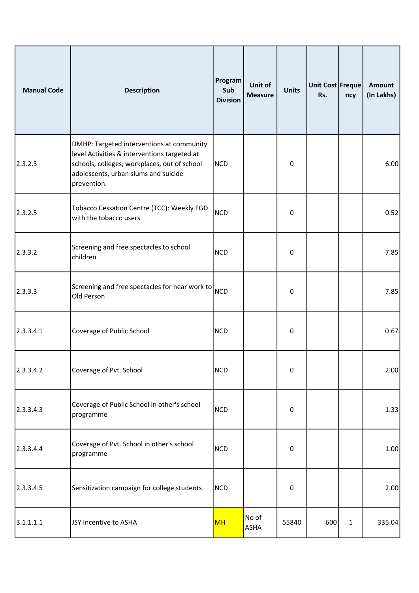| <b>Manual Code</b> | <b>Description</b>                                                                                                                                                                               | Program<br>Sub<br><b>Division</b> | Unit of<br><b>Measure</b> | <b>Units</b> | Unit Cost Freque<br>Rs. | ncy          | <b>Amount</b><br>(In Lakhs) |
|--------------------|--------------------------------------------------------------------------------------------------------------------------------------------------------------------------------------------------|-----------------------------------|---------------------------|--------------|-------------------------|--------------|-----------------------------|
| 2.3.2.3            | DMHP: Targeted interventions at community<br>level Activities & interventions targeted at<br>schools, colleges, workplaces, out of school<br>adolescents, urban slums and suicide<br>prevention. | <b>NCD</b>                        |                           | $\mathbf 0$  |                         |              | 6.00                        |
| 2.3.2.5            | Tobacco Cessation Centre (TCC): Weekly FGD<br>with the tobacco users                                                                                                                             | <b>NCD</b>                        |                           | 0            |                         |              | 0.52                        |
| 2.3.3.2            | Screening and free spectacles to school<br>children                                                                                                                                              | <b>NCD</b>                        |                           | 0            |                         |              | 7.85                        |
| 2.3.3.3            | Screening and free spectacles for near work to<br>Old Person                                                                                                                                     | <b>NCD</b>                        |                           | 0            |                         |              | 7.85                        |
| 2.3.3.4.1          | Coverage of Public School                                                                                                                                                                        | <b>NCD</b>                        |                           | 0            |                         |              | 0.67                        |
| 2.3.3.4.2          | Coverage of Pvt. School                                                                                                                                                                          | <b>NCD</b>                        |                           | 0            |                         |              | 2.00                        |
| 2.3.3.4.3          | Coverage of Public School in other's school<br>programme                                                                                                                                         | <b>NCD</b>                        |                           | 0            |                         |              | 1.33                        |
| 2.3.3.4.4          | Coverage of Pvt. School in other's school<br>programme                                                                                                                                           | <b>NCD</b>                        |                           | 0            |                         |              | 1.00                        |
| 2.3.3.4.5          | Sensitization campaign for college students                                                                                                                                                      | <b>NCD</b>                        |                           | $\pmb{0}$    |                         |              | 2.00                        |
| 3.1.1.1.1          | JSY Incentive to ASHA                                                                                                                                                                            | <b>MH</b>                         | No of<br>ASHA             | 55840        | 600                     | $\mathbf{1}$ | 335.04                      |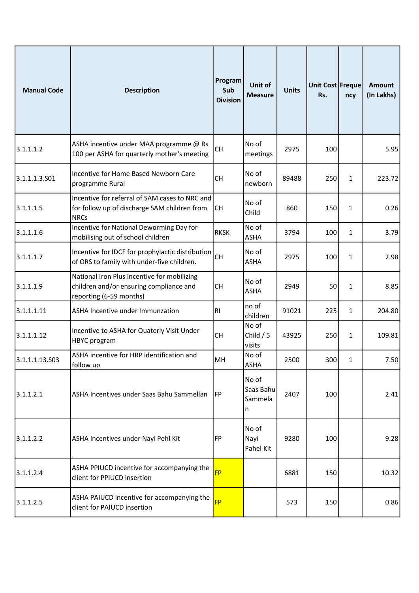| <b>Manual Code</b> | <b>Description</b>                                                                                                | Program<br>Sub<br><b>Division</b> | Unit of<br><b>Measure</b>          | <b>Units</b> | Unit Cost Freque<br>Rs. | ncy          | <b>Amount</b><br>(In Lakhs) |
|--------------------|-------------------------------------------------------------------------------------------------------------------|-----------------------------------|------------------------------------|--------------|-------------------------|--------------|-----------------------------|
| 3.1.1.1.2          | ASHA incentive under MAA programme @ Rs<br>100 per ASHA for quarterly mother's meeting                            | CH                                | No of<br>meetings                  | 2975         | 100                     |              | 5.95                        |
| 3.1.1.1.3.501      | Incentive for Home Based Newborn Care<br>programme Rural                                                          | <b>CH</b>                         | No of<br>newborn                   | 89488        | 250                     | $\mathbf{1}$ | 223.72                      |
| 3.1.1.1.5          | Incentive for referral of SAM cases to NRC and<br>for follow up of discharge SAM children from<br><b>NRCs</b>     | lсн                               | No of<br>Child                     | 860          | 150                     | $\mathbf{1}$ | 0.26                        |
| 3.1.1.1.6          | Incentive for National Deworming Day for<br>mobilising out of school children                                     | <b>RKSK</b>                       | No of<br><b>ASHA</b>               | 3794         | 100                     | 1            | 3.79                        |
| 3.1.1.1.7          | Incentive for IDCF for prophylactic distribution<br>of ORS to family with under-five children.                    | CH                                | No of<br><b>ASHA</b>               | 2975         | 100                     | $\mathbf{1}$ | 2.98                        |
| 3.1.1.1.9          | National Iron Plus Incentive for mobilizing<br>children and/or ensuring compliance and<br>reporting (6-59 months) | <b>CH</b>                         | No of<br><b>ASHA</b>               | 2949         | 50                      | $\mathbf{1}$ | 8.85                        |
| 3.1.1.1.11         | ASHA Incentive under Immunzation                                                                                  | RI                                | no of<br>children                  | 91021        | 225                     | $\mathbf{1}$ | 204.80                      |
| 3.1.1.1.12         | Incentive to ASHA for Quaterly Visit Under<br>HBYC program                                                        | <b>CH</b>                         | No of<br>Child $/5$<br>visits      | 43925        | 250                     | $\mathbf{1}$ | 109.81                      |
| 3.1.1.1.13.503     | ASHA incentive for HRP identification and<br>follow up                                                            | MH                                | No of<br><b>ASHA</b>               | 2500         | 300                     | 1            | 7.50                        |
| 3.1.1.2.1          | ASHA Incentives under Saas Bahu Sammellan                                                                         | <b>IFP</b>                        | No of<br>Saas Bahu<br>Sammela<br>n | 2407         | 100                     |              | 2.41                        |
| 3.1.1.2.2          | ASHA Incentives under Nayi Pehl Kit                                                                               | FP                                | No of<br>Nayi<br>Pahel Kit         | 9280         | 100                     |              | 9.28                        |
| 3.1.1.2.4          | ASHA PPIUCD incentive for accompanying the<br>client for PPIUCD insertion                                         | <b>FP</b>                         |                                    | 6881         | 150                     |              | 10.32                       |
| 3.1.1.2.5          | ASHA PAIUCD incentive for accompanying the<br>client for PAIUCD insertion                                         | <b>FP</b>                         |                                    | 573          | 150                     |              | 0.86                        |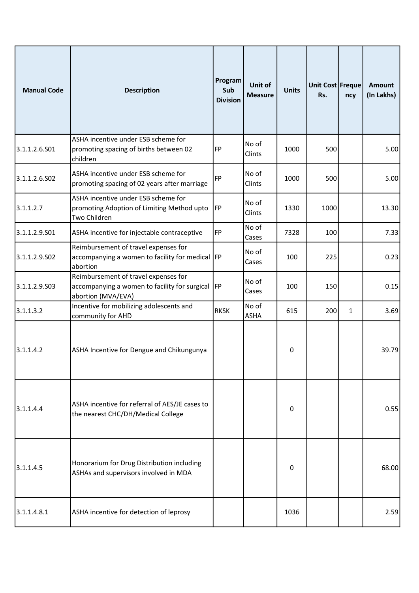| <b>Manual Code</b> | <b>Description</b>                                                                                              | Program<br>Sub<br><b>Division</b> | Unit of<br><b>Measure</b> | <b>Units</b> | Unit Cost Freque<br>Rs. | ncy          | <b>Amount</b><br>(In Lakhs) |
|--------------------|-----------------------------------------------------------------------------------------------------------------|-----------------------------------|---------------------------|--------------|-------------------------|--------------|-----------------------------|
| 3.1.1.2.6.S01      | ASHA incentive under ESB scheme for<br>promoting spacing of births between 02<br>children                       | FP                                | No of<br>Clints           | 1000         | 500                     |              | 5.00                        |
| 3.1.1.2.6.S02      | ASHA incentive under ESB scheme for<br>promoting spacing of 02 years after marriage                             | FP                                | No of<br>Clints           | 1000         | 500                     |              | 5.00                        |
| 3.1.1.2.7          | ASHA incentive under ESB scheme for<br>promoting Adoption of Limiting Method upto<br>Two Children               | <b>FP</b>                         | No of<br>Clints           | 1330         | 1000                    |              | 13.30                       |
| 3.1.1.2.9.S01      | ASHA incentive for injectable contraceptive                                                                     | FP                                | No of<br>Cases            | 7328         | 100                     |              | 7.33                        |
| 3.1.1.2.9.502      | Reimbursement of travel expenses for<br>accompanying a women to facility for medical  FP<br>abortion            |                                   | No of<br>Cases            | 100          | 225                     |              | 0.23                        |
| 3.1.1.2.9.503      | Reimbursement of travel expenses for<br>accompanying a women to facility for surgical  FP<br>abortion (MVA/EVA) |                                   | No of<br>Cases            | 100          | 150                     |              | 0.15                        |
| 3.1.1.3.2          | Incentive for mobilizing adolescents and<br>community for AHD                                                   | <b>RKSK</b>                       | No of<br><b>ASHA</b>      | 615          | 200                     | $\mathbf{1}$ | 3.69                        |
| 3.1.1.4.2          | ASHA Incentive for Dengue and Chikungunya                                                                       |                                   |                           | 0            |                         |              | 39.79                       |
| 3.1.1.4.4          | ASHA incentive for referral of AES/JE cases to<br>the nearest CHC/DH/Medical College                            |                                   |                           | 0            |                         |              | 0.55                        |
| 3.1.1.4.5          | Honorarium for Drug Distribution including<br>ASHAs and supervisors involved in MDA                             |                                   |                           | 0            |                         |              | 68.00                       |
| 3.1.1.4.8.1        | ASHA incentive for detection of leprosy                                                                         |                                   |                           | 1036         |                         |              | 2.59                        |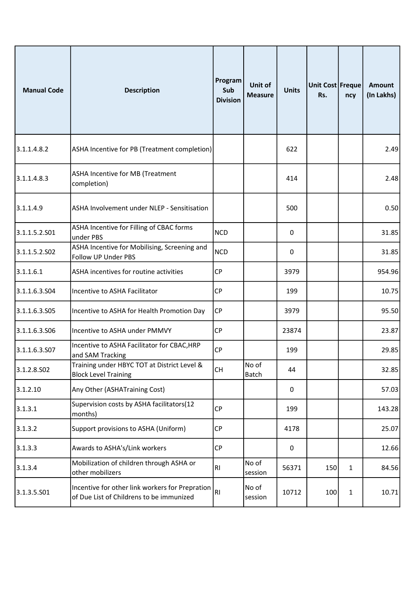| <b>Manual Code</b> | <b>Description</b>                                                                          | Program<br>Sub<br><b>Division</b> | Unit of<br><b>Measure</b> | <b>Units</b> | Unit Cost Freque<br>Rs. | ncy          | <b>Amount</b><br>(In Lakhs) |
|--------------------|---------------------------------------------------------------------------------------------|-----------------------------------|---------------------------|--------------|-------------------------|--------------|-----------------------------|
| 3.1.1.4.8.2        | ASHA Incentive for PB (Treatment completion)                                                |                                   |                           | 622          |                         |              | 2.49                        |
| 3.1.1.4.8.3        | ASHA Incentive for MB (Treatment<br>completion)                                             |                                   |                           | 414          |                         |              | 2.48                        |
| 3.1.1.4.9          | ASHA Involvement under NLEP - Sensitisation                                                 |                                   |                           | 500          |                         |              | 0.50                        |
| 3.1.1.5.2.501      | ASHA Incentive for Filling of CBAC forms<br>under PBS                                       | <b>NCD</b>                        |                           | 0            |                         |              | 31.85                       |
| 3.1.1.5.2.SO2      | ASHA Incentive for Mobilising, Screening and<br>Follow UP Under PBS                         | <b>NCD</b>                        |                           | 0            |                         |              | 31.85                       |
| 3.1.1.6.1          | ASHA incentives for routine activities                                                      | <b>CP</b>                         |                           | 3979         |                         |              | 954.96                      |
| 3.1.1.6.3.504      | Incentive to ASHA Facilitator                                                               | <b>CP</b>                         |                           | 199          |                         |              | 10.75                       |
| 3.1.1.6.3.S05      | Incentive to ASHA for Health Promotion Day                                                  | <b>CP</b>                         |                           | 3979         |                         |              | 95.50                       |
| 3.1.1.6.3.506      | Incentive to ASHA under PMMVY                                                               | <b>CP</b>                         |                           | 23874        |                         |              | 23.87                       |
| 3.1.1.6.3.S07      | Incentive to ASHA Facilitator for CBAC, HRP<br>and SAM Tracking                             | <b>CP</b>                         |                           | 199          |                         |              | 29.85                       |
| 3.1.2.8.502        | Training under HBYC TOT at District Level &<br><b>Block Level Training</b>                  | <b>CH</b>                         | No of<br><b>Batch</b>     | 44           |                         |              | 32.85                       |
| 3.1.2.10           | Any Other (ASHATraining Cost)                                                               |                                   |                           | $\mathbf 0$  |                         |              | 57.03                       |
| 3.1.3.1            | Supervision costs by ASHA facilitators(12<br>months)                                        | <b>CP</b>                         |                           | 199          |                         |              | 143.28                      |
| 3.1.3.2            | Support provisions to ASHA (Uniform)                                                        | <b>CP</b>                         |                           | 4178         |                         |              | 25.07                       |
| 3.1.3.3            | Awards to ASHA's/Link workers                                                               | <b>CP</b>                         |                           | 0            |                         |              | 12.66                       |
| 3.1.3.4            | Mobilization of children through ASHA or<br>other mobilizers                                | RI                                | No of<br>session          | 56371        | 150                     | $\mathbf{1}$ | 84.56                       |
| 3.1.3.5.501        | Incentive for other link workers for Prepration<br>of Due List of Childrens to be immunized | RI                                | No of<br>session          | 10712        | 100                     | $\mathbf{1}$ | 10.71                       |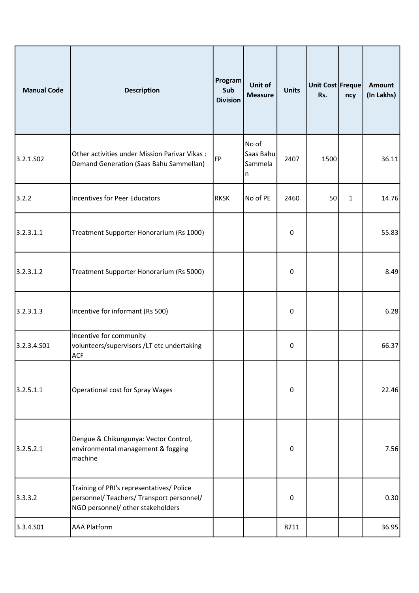| <b>Manual Code</b> | <b>Description</b>                                                                                                          | Program<br>Sub<br><b>Division</b> | Unit of<br><b>Measure</b>          | <b>Units</b>     | Unit Cost Freque<br>Rs. | ncy          | Amount<br>(In Lakhs) |
|--------------------|-----------------------------------------------------------------------------------------------------------------------------|-----------------------------------|------------------------------------|------------------|-------------------------|--------------|----------------------|
| 3.2.1.502          | Other activities under Mission Parivar Vikas:<br>Demand Generation (Saas Bahu Sammellan)                                    | FP                                | No of<br>Saas Bahu<br>Sammela<br>n | 2407             | 1500                    |              | 36.11                |
| 3.2.2              | Incentives for Peer Educators                                                                                               | <b>RKSK</b>                       | No of PE                           | 2460             | 50                      | $\mathbf{1}$ | 14.76                |
| 3.2.3.1.1          | Treatment Supporter Honorarium (Rs 1000)                                                                                    |                                   |                                    | 0                |                         |              | 55.83                |
| 3.2.3.1.2          | Treatment Supporter Honorarium (Rs 5000)                                                                                    |                                   |                                    | 0                |                         |              | 8.49                 |
| 3.2.3.1.3          | Incentive for informant (Rs 500)                                                                                            |                                   |                                    | 0                |                         |              | 6.28                 |
| 3.2.3.4.501        | Incentive for community<br>volunteers/supervisors /LT etc undertaking<br><b>ACF</b>                                         |                                   |                                    | 0                |                         |              | 66.37                |
| 3.2.5.1.1          | <b>Operational cost for Spray Wages</b>                                                                                     |                                   |                                    | $\boldsymbol{0}$ |                         |              | 22.46                |
| 3.2.5.2.1          | Dengue & Chikungunya: Vector Control,<br>environmental management & fogging<br>machine                                      |                                   |                                    | $\boldsymbol{0}$ |                         |              | 7.56                 |
| 3.3.3.2            | Training of PRI's representatives/ Police<br>personnel/ Teachers/ Transport personnel/<br>NGO personnel/ other stakeholders |                                   |                                    | $\mathbf 0$      |                         |              | 0.30                 |
| 3.3.4.501          | <b>AAA Platform</b>                                                                                                         |                                   |                                    | 8211             |                         |              | 36.95                |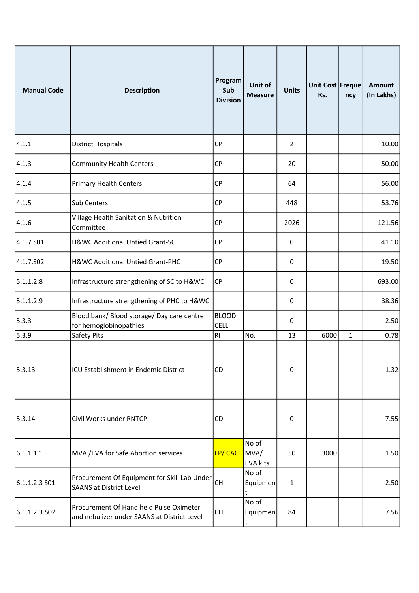| <b>Manual Code</b> | <b>Description</b>                                                                     | Program<br>Sub<br><b>Division</b> | Unit of<br><b>Measure</b>        | <b>Units</b> | Unit Cost Freque<br>Rs. | ncy          | <b>Amount</b><br>(In Lakhs) |
|--------------------|----------------------------------------------------------------------------------------|-----------------------------------|----------------------------------|--------------|-------------------------|--------------|-----------------------------|
| 4.1.1              | <b>District Hospitals</b>                                                              | <b>CP</b>                         |                                  | 2            |                         |              | 10.00                       |
| 4.1.3              | <b>Community Health Centers</b>                                                        | CP                                |                                  | 20           |                         |              | 50.00                       |
| 4.1.4              | <b>Primary Health Centers</b>                                                          | <b>CP</b>                         |                                  | 64           |                         |              | 56.00                       |
| 4.1.5              | Sub Centers                                                                            | <b>CP</b>                         |                                  | 448          |                         |              | 53.76                       |
| 4.1.6              | Village Health Sanitation & Nutrition<br>Committee                                     | CP                                |                                  | 2026         |                         |              | 121.56                      |
| 4.1.7.S01          | H&WC Additional Untied Grant-SC                                                        | <b>CP</b>                         |                                  | 0            |                         |              | 41.10                       |
| 4.1.7.502          | H&WC Additional Untied Grant-PHC                                                       | CP                                |                                  | 0            |                         |              | 19.50                       |
| 5.1.1.2.8          | Infrastructure strengthening of SC to H&WC                                             | <b>CP</b>                         |                                  | $\pmb{0}$    |                         |              | 693.00                      |
| 5.1.1.2.9          | Infrastructure strengthening of PHC to H&WC                                            |                                   |                                  | 0            |                         |              | 38.36                       |
| 5.3.3              | Blood bank/ Blood storage/ Day care centre<br>for hemoglobinopathies                   | <b>BLOOD</b><br><b>CELL</b>       |                                  | 0            |                         |              | 2.50                        |
| 5.3.9              | Safety Pits                                                                            | R1                                | No.                              | 13           | 6000                    | $\mathbf{1}$ | 0.78                        |
| 5.3.13             | ICU Establishment in Endemic District                                                  | CD                                |                                  | $\pmb{0}$    |                         |              | 1.32                        |
| 5.3.14             | Civil Works under RNTCP                                                                | CD                                |                                  | 0            |                         |              | 7.55                        |
| 6.1.1.1.1          | MVA / EVA for Safe Abortion services                                                   | <b>FP/CAC</b>                     | No of<br>MVA/<br><b>EVA kits</b> | 50           | 3000                    |              | 1.50                        |
| 6.1.1.2.3 S01      | Procurement Of Equipment for Skill Lab Under<br><b>SAANS at District Level</b>         | <b>CH</b>                         | No of<br>Equipmen<br>t           | $\mathbf{1}$ |                         |              | 2.50                        |
| 6.1.1.2.3.502      | Procurement Of Hand held Pulse Oximeter<br>and nebulizer under SAANS at District Level | <b>CH</b>                         | No of<br>Equipmen<br>t           | 84           |                         |              | 7.56                        |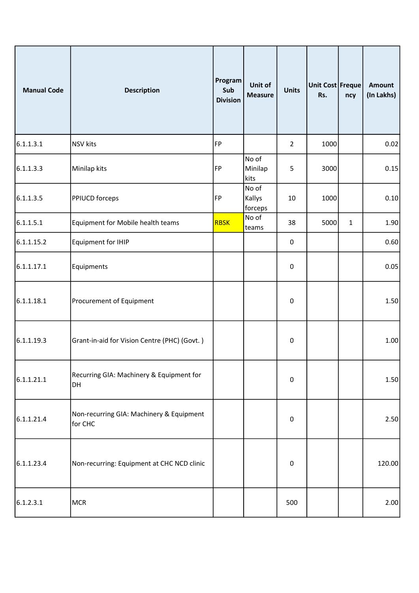| <b>Manual Code</b> | <b>Description</b>                                  | Program<br>Sub<br><b>Division</b> | Unit of<br><b>Measure</b>  | <b>Units</b>     | Unit Cost Freque<br>Rs. | ncy          | <b>Amount</b><br>(In Lakhs) |
|--------------------|-----------------------------------------------------|-----------------------------------|----------------------------|------------------|-------------------------|--------------|-----------------------------|
| 6.1.1.3.1          | <b>NSV</b> kits                                     | FP                                |                            | $\overline{2}$   | 1000                    |              | 0.02                        |
| 6.1.1.3.3          | Minilap kits                                        | FP                                | No of<br>Minilap<br>kits   | 5                | 3000                    |              | 0.15                        |
| 6.1.1.3.5          | <b>PPIUCD forceps</b>                               | FP                                | No of<br>Kallys<br>forceps | 10               | 1000                    |              | 0.10                        |
| 6.1.1.5.1          | Equipment for Mobile health teams                   | <b>RBSK</b>                       | No of<br>teams             | 38               | 5000                    | $\mathbf{1}$ | 1.90                        |
| 6.1.1.15.2         | Equipment for IHIP                                  |                                   |                            | $\boldsymbol{0}$ |                         |              | 0.60                        |
| 6.1.1.17.1         | Equipments                                          |                                   |                            | $\pmb{0}$        |                         |              | 0.05                        |
| 6.1.1.18.1         | Procurement of Equipment                            |                                   |                            | $\pmb{0}$        |                         |              | 1.50                        |
| 6.1.1.19.3         | Grant-in-aid for Vision Centre (PHC) (Govt.)        |                                   |                            | $\pmb{0}$        |                         |              | 1.00                        |
| 6.1.1.21.1         | Recurring GIA: Machinery & Equipment for<br>DH      |                                   |                            | $\boldsymbol{0}$ |                         |              | 1.50                        |
| 6.1.1.21.4         | Non-recurring GIA: Machinery & Equipment<br>for CHC |                                   |                            | $\pmb{0}$        |                         |              | 2.50                        |
| 6.1.1.23.4         | Non-recurring: Equipment at CHC NCD clinic          |                                   |                            | $\pmb{0}$        |                         |              | 120.00                      |
| 6.1.2.3.1          | <b>MCR</b>                                          |                                   |                            | 500              |                         |              | 2.00                        |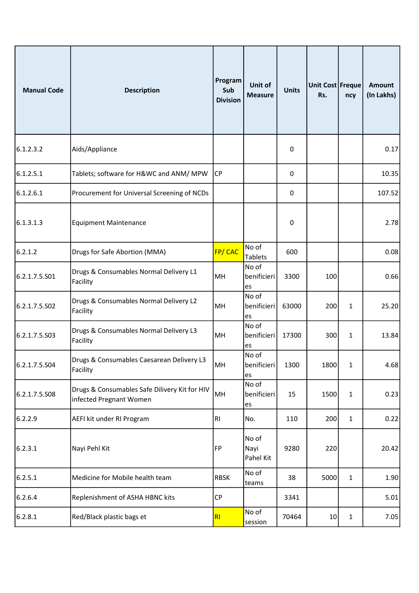| <b>Manual Code</b> | <b>Description</b>                                                       | Program<br>Sub<br><b>Division</b> | Unit of<br><b>Measure</b>  | <b>Units</b> | Unit Cost Freque<br>Rs. | ncy          | <b>Amount</b><br>(In Lakhs) |
|--------------------|--------------------------------------------------------------------------|-----------------------------------|----------------------------|--------------|-------------------------|--------------|-----------------------------|
| 6.1.2.3.2          | Aids/Appliance                                                           |                                   |                            | 0            |                         |              | 0.17                        |
| 6.1.2.5.1          | Tablets; software for H&WC and ANM/ MPW                                  | CP                                |                            | 0            |                         |              | 10.35                       |
| 6.1.2.6.1          | Procurement for Universal Screening of NCDs                              |                                   |                            | 0            |                         |              | 107.52                      |
| 6.1.3.1.3          | <b>Equipment Maintenance</b>                                             |                                   |                            | 0            |                         |              | 2.78                        |
| 6.2.1.2            | Drugs for Safe Abortion (MMA)                                            | FP/ CAC                           | No of<br>Tablets           | 600          |                         |              | 0.08                        |
| 6.2.1.7.5.501      | Drugs & Consumables Normal Delivery L1<br>Facility                       | MH                                | No of<br>benificieri<br>es | 3300         | 100                     |              | 0.66                        |
| 6.2.1.7.5.S02      | Drugs & Consumables Normal Delivery L2<br>Facility                       | MH                                | No of<br>benificieri<br>es | 63000        | 200                     | $\mathbf{1}$ | 25.20                       |
| 6.2.1.7.5.503      | Drugs & Consumables Normal Delivery L3<br>Facility                       | MH                                | No of<br>benificieri<br>es | 17300        | 300                     | 1            | 13.84                       |
| 6.2.1.7.5.S04      | Drugs & Consumables Caesarean Delivery L3<br>Facility                    | MH                                | No of<br>benificieri<br>es | 1300         | 1800                    | $\mathbf{1}$ | 4.68                        |
| 6.2.1.7.5.S08      | Drugs & Consumables Safe Dilivery Kit for HIV<br>infected Pregnant Women | MH                                | No of<br>benificieri<br>es | 15           | 1500                    | 1            | 0.23                        |
| 6.2.2.9            | AEFI kit under RI Program                                                | RI                                | No.                        | 110          | 200                     | $\mathbf{1}$ | 0.22                        |
| 6.2.3.1            | Nayi Pehl Kit                                                            | FP                                | No of<br>Nayi<br>Pahel Kit | 9280         | 220                     |              | 20.42                       |
| 6.2.5.1            | Medicine for Mobile health team                                          | <b>RBSK</b>                       | No of<br>teams             | 38           | 5000                    | 1            | 1.90                        |
| 6.2.6.4            | Replenishment of ASHA HBNC kits                                          | <b>CP</b>                         |                            | 3341         |                         |              | 5.01                        |
| 6.2.8.1            | Red/Black plastic bags et                                                | R <sub>l</sub>                    | No of<br>session           | 70464        | 10 <sup>1</sup>         | 1            | 7.05                        |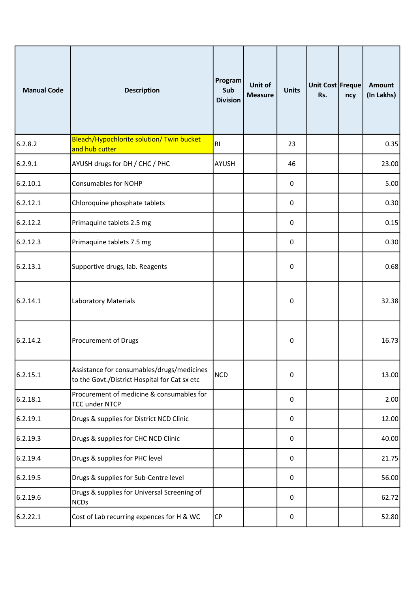| <b>Manual Code</b> | <b>Description</b>                                                                          | Program<br>Sub<br><b>Division</b> | Unit of<br><b>Measure</b> | <b>Units</b> | Unit Cost Freque<br>Rs. | ncy | <b>Amount</b><br>(In Lakhs) |
|--------------------|---------------------------------------------------------------------------------------------|-----------------------------------|---------------------------|--------------|-------------------------|-----|-----------------------------|
| 6.2.8.2            | Bleach/Hypochlorite solution/ Twin bucket<br>and hub cutter                                 | RI                                |                           | 23           |                         |     | 0.35                        |
| 6.2.9.1            | AYUSH drugs for DH / CHC / PHC                                                              | <b>AYUSH</b>                      |                           | 46           |                         |     | 23.00                       |
| 6.2.10.1           | <b>Consumables for NOHP</b>                                                                 |                                   |                           | 0            |                         |     | 5.00                        |
| 6.2.12.1           | Chloroquine phosphate tablets                                                               |                                   |                           | 0            |                         |     | 0.30                        |
| 6.2.12.2           | Primaquine tablets 2.5 mg                                                                   |                                   |                           | 0            |                         |     | 0.15                        |
| 6.2.12.3           | Primaquine tablets 7.5 mg                                                                   |                                   |                           | 0            |                         |     | 0.30                        |
| 6.2.13.1           | Supportive drugs, lab. Reagents                                                             |                                   |                           | 0            |                         |     | 0.68                        |
| 6.2.14.1           | <b>Laboratory Materials</b>                                                                 |                                   |                           | 0            |                         |     | 32.38                       |
| 6.2.14.2           | Procurement of Drugs                                                                        |                                   |                           | $\pmb{0}$    |                         |     | 16.73                       |
| 6.2.15.1           | Assistance for consumables/drugs/medicines<br>to the Govt./District Hospital for Cat sx etc | <b>NCD</b>                        |                           | $\pmb{0}$    |                         |     | 13.00                       |
| 6.2.18.1           | Procurement of medicine & consumables for<br><b>TCC under NTCP</b>                          |                                   |                           | $\pmb{0}$    |                         |     | 2.00                        |
| 6.2.19.1           | Drugs & supplies for District NCD Clinic                                                    |                                   |                           | 0            |                         |     | 12.00                       |
| 6.2.19.3           | Drugs & supplies for CHC NCD Clinic                                                         |                                   |                           | $\pmb{0}$    |                         |     | 40.00                       |
| 6.2.19.4           | Drugs & supplies for PHC level                                                              |                                   |                           | $\pmb{0}$    |                         |     | 21.75                       |
| 6.2.19.5           | Drugs & supplies for Sub-Centre level                                                       |                                   |                           | 0            |                         |     | 56.00                       |
| 6.2.19.6           | Drugs & supplies for Universal Screening of<br><b>NCDs</b>                                  |                                   |                           | 0            |                         |     | 62.72                       |
| 6.2.22.1           | Cost of Lab recurring expences for H & WC                                                   | CP                                |                           | $\pmb{0}$    |                         |     | 52.80                       |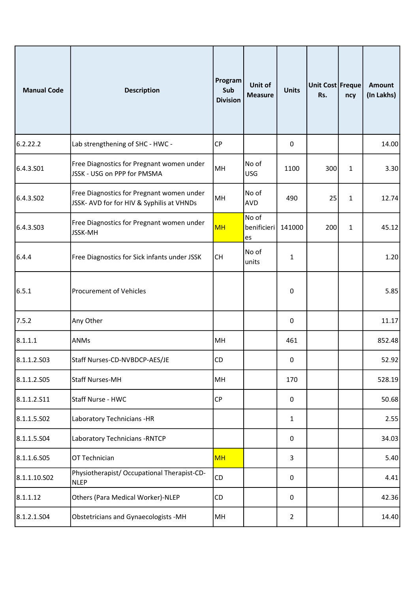| <b>Manual Code</b> | <b>Description</b>                                                                     | Program<br>Sub<br><b>Division</b> | Unit of<br><b>Measure</b>  | <b>Units</b>     | Unit Cost Freque<br>Rs. | ncy          | <b>Amount</b><br>(In Lakhs) |
|--------------------|----------------------------------------------------------------------------------------|-----------------------------------|----------------------------|------------------|-------------------------|--------------|-----------------------------|
| 6.2.22.2           | Lab strengthening of SHC - HWC -                                                       | <b>CP</b>                         |                            | 0                |                         |              | 14.00                       |
| 6.4.3.501          | Free Diagnostics for Pregnant women under<br>JSSK - USG on PPP for PMSMA               | MH                                | No of<br><b>USG</b>        | 1100             | 300                     | $\mathbf{1}$ | 3.30                        |
| 6.4.3.502          | Free Diagnostics for Pregnant women under<br>JSSK- AVD for for HIV & Syphilis at VHNDs | MH                                | No of<br>AVD               | 490              | 25                      | $\mathbf{1}$ | 12.74                       |
| 6.4.3.S03          | Free Diagnostics for Pregnant women under<br>JSSK-MH                                   | <b>MH</b>                         | No of<br>benificieri<br>es | 141000           | 200                     | $\mathbf{1}$ | 45.12                       |
| 6.4.4              | Free Diagnostics for Sick infants under JSSK                                           | <b>CH</b>                         | No of<br>units             | 1                |                         |              | 1.20                        |
| 6.5.1              | <b>Procurement of Vehicles</b>                                                         |                                   |                            | $\boldsymbol{0}$ |                         |              | 5.85                        |
| 7.5.2              | Any Other                                                                              |                                   |                            | 0                |                         |              | 11.17                       |
| 8.1.1.1            | ANMs                                                                                   | MH                                |                            | 461              |                         |              | 852.48                      |
| 8.1.1.2.503        | Staff Nurses-CD-NVBDCP-AES/JE                                                          | <b>CD</b>                         |                            | 0                |                         |              | 52.92                       |
| 8.1.1.2.505        | <b>Staff Nurses-MH</b>                                                                 | MH                                |                            | 170              |                         |              | 528.19                      |
| 8.1.1.2.511        | Staff Nurse - HWC                                                                      | <b>CP</b>                         |                            | 0                |                         |              | 50.68                       |
| 8.1.1.5.502        | Laboratory Technicians -HR                                                             |                                   |                            | 1                |                         |              | 2.55                        |
| 8.1.1.5.504        | Laboratory Technicians - RNTCP                                                         |                                   |                            | $\boldsymbol{0}$ |                         |              | 34.03                       |
| 8.1.1.6.505        | OT Technician                                                                          | <b>MH</b>                         |                            | 3                |                         |              | 5.40                        |
| 8.1.1.10.S02       | Physiotherapist/ Occupational Therapist-CD-<br><b>NLEP</b>                             | CD                                |                            | $\pmb{0}$        |                         |              | 4.41                        |
| 8.1.1.12           | Others (Para Medical Worker)-NLEP                                                      | <b>CD</b>                         |                            | $\mathbf 0$      |                         |              | 42.36                       |
| 8.1.2.1.504        | Obstetricians and Gynaecologists -MH                                                   | MH                                |                            | $\overline{2}$   |                         |              | 14.40                       |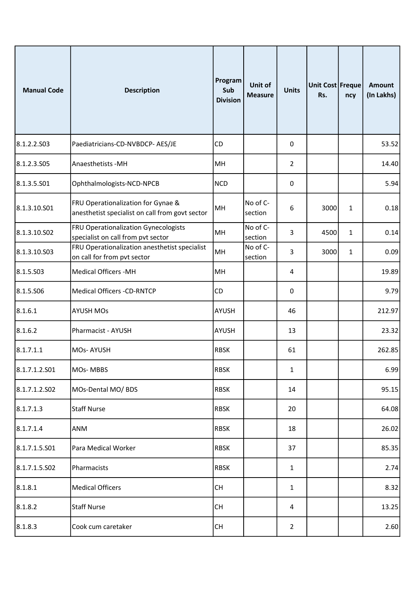| <b>Manual Code</b> | <b>Description</b>                                                                    | Program<br>Sub<br><b>Division</b> | Unit of<br><b>Measure</b> | <b>Units</b>   | Unit Cost Freque<br>Rs. | ncy          | <b>Amount</b><br>(In Lakhs) |
|--------------------|---------------------------------------------------------------------------------------|-----------------------------------|---------------------------|----------------|-------------------------|--------------|-----------------------------|
| 8.1.2.2.503        | Paediatricians-CD-NVBDCP- AES/JE                                                      | CD                                |                           | 0              |                         |              | 53.52                       |
| 8.1.2.3.505        | Anaesthetists - MH                                                                    | MH                                |                           | $\overline{2}$ |                         |              | 14.40                       |
| 8.1.3.5.501        | Ophthalmologists-NCD-NPCB                                                             | <b>NCD</b>                        |                           | 0              |                         |              | 5.94                        |
| 8.1.3.10.S01       | FRU Operationalization for Gynae &<br>anesthetist specialist on call from govt sector | MH                                | No of C-<br>section       | 6              | 3000                    | $\mathbf{1}$ | 0.18                        |
| 8.1.3.10.S02       | FRU Operationalization Gynecologists<br>specialist on call from pvt sector            | MH                                | No of C-<br>section       | 3              | 4500                    | 1            | 0.14                        |
| 8.1.3.10.S03       | FRU Operationalization anesthetist specialist<br>on call for from pvt sector          | MH                                | No of C-<br>section       | 3              | 3000                    | $\mathbf{1}$ | 0.09                        |
| 8.1.5.503          | <b>Medical Officers -MH</b>                                                           | MH                                |                           | 4              |                         |              | 19.89                       |
| 8.1.5.506          | <b>Medical Officers -CD-RNTCP</b>                                                     | CD                                |                           | 0              |                         |              | 9.79                        |
| 8.1.6.1            | <b>AYUSH MOs</b>                                                                      | AYUSH                             |                           | 46             |                         |              | 212.97                      |
| 8.1.6.2            | Pharmacist - AYUSH                                                                    | AYUSH                             |                           | 13             |                         |              | 23.32                       |
| 8.1.7.1.1          | MOs-AYUSH                                                                             | <b>RBSK</b>                       |                           | 61             |                         |              | 262.85                      |
| 8.1.7.1.2.501      | MOs-MBBS                                                                              | <b>RBSK</b>                       |                           | 1              |                         |              | 6.99                        |
| 8.1.7.1.2.502      | MOs-Dental MO/ BDS                                                                    | <b>RBSK</b>                       |                           | 14             |                         |              | 95.15                       |
| 8.1.7.1.3          | <b>Staff Nurse</b>                                                                    | <b>RBSK</b>                       |                           | 20             |                         |              | 64.08                       |
| 8.1.7.1.4          | <b>ANM</b>                                                                            | <b>RBSK</b>                       |                           | 18             |                         |              | 26.02                       |
| 8.1.7.1.5.501      | Para Medical Worker                                                                   | <b>RBSK</b>                       |                           | 37             |                         |              | 85.35                       |
| 8.1.7.1.5.S02      | Pharmacists                                                                           | <b>RBSK</b>                       |                           | 1              |                         |              | 2.74                        |
| 8.1.8.1            | <b>Medical Officers</b>                                                               | CH                                |                           | 1              |                         |              | 8.32                        |
| 8.1.8.2            | <b>Staff Nurse</b>                                                                    | CH                                |                           | 4              |                         |              | 13.25                       |
| 8.1.8.3            | Cook cum caretaker                                                                    | CH                                |                           | $\overline{2}$ |                         |              | 2.60                        |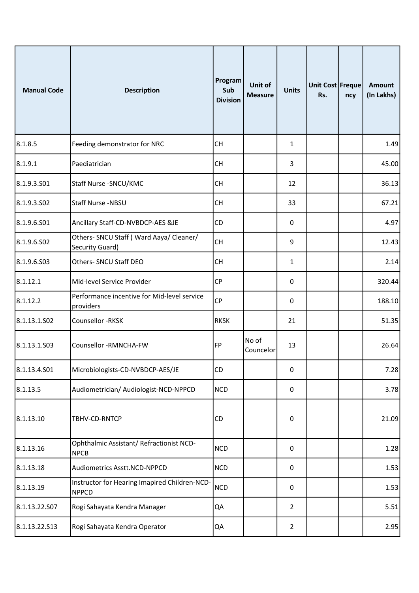| <b>Manual Code</b> | <b>Description</b>                                            | Program<br>Sub<br><b>Division</b> | Unit of<br><b>Measure</b> | <b>Units</b>   | Unit Cost Freque<br>Rs. | ncy | <b>Amount</b><br>(In Lakhs) |
|--------------------|---------------------------------------------------------------|-----------------------------------|---------------------------|----------------|-------------------------|-----|-----------------------------|
| 8.1.8.5            | Feeding demonstrator for NRC                                  | <b>CH</b>                         |                           | 1              |                         |     | 1.49                        |
| 8.1.9.1            | Paediatrician                                                 | <b>CH</b>                         |                           | 3              |                         |     | 45.00                       |
| 8.1.9.3.501        | Staff Nurse - SNCU/KMC                                        | <b>CH</b>                         |                           | 12             |                         |     | 36.13                       |
| 8.1.9.3.502        | Staff Nurse -NBSU                                             | <b>CH</b>                         |                           | 33             |                         |     | 67.21                       |
| 8.1.9.6.501        | Ancillary Staff-CD-NVBDCP-AES &JE                             | <b>CD</b>                         |                           | 0              |                         |     | 4.97                        |
| 8.1.9.6.S02        | Others- SNCU Staff (Ward Aaya/ Cleaner/<br>Security Guard)    | <b>CH</b>                         |                           | 9              |                         |     | 12.43                       |
| 8.1.9.6.503        | Others- SNCU Staff DEO                                        | <b>CH</b>                         |                           | 1              |                         |     | 2.14                        |
| 8.1.12.1           | Mid-level Service Provider                                    | <b>CP</b>                         |                           | $\pmb{0}$      |                         |     | 320.44                      |
| 8.1.12.2           | Performance incentive for Mid-level service<br>providers      | <b>CP</b>                         |                           | 0              |                         |     | 188.10                      |
| 8.1.13.1.S02       | Counsellor - RKSK                                             | <b>RKSK</b>                       |                           | 21             |                         |     | 51.35                       |
| 8.1.13.1.503       | Counsellor -RMNCHA-FW                                         | FP                                | No of<br>Councelor        | 13             |                         |     | 26.64                       |
| 8.1.13.4.501       | Microbiologists-CD-NVBDCP-AES/JE                              | CD                                |                           | $\pmb{0}$      |                         |     | 7.28                        |
| 8.1.13.5           | Audiometrician/ Audiologist-NCD-NPPCD                         | <b>NCD</b>                        |                           | $\pmb{0}$      |                         |     | 3.78                        |
| 8.1.13.10          | TBHV-CD-RNTCP                                                 | CD                                |                           | $\pmb{0}$      |                         |     | 21.09                       |
| 8.1.13.16          | Ophthalmic Assistant/ Refractionist NCD-<br><b>NPCB</b>       | <b>NCD</b>                        |                           | $\pmb{0}$      |                         |     | 1.28                        |
| 8.1.13.18          | Audiometrics Asstt.NCD-NPPCD                                  | <b>NCD</b>                        |                           | 0              |                         |     | 1.53                        |
| 8.1.13.19          | Instructor for Hearing Imapired Children-NCD-<br><b>NPPCD</b> | <b>NCD</b>                        |                           | $\pmb{0}$      |                         |     | 1.53                        |
| 8.1.13.22.S07      | Rogi Sahayata Kendra Manager                                  | QA                                |                           | $\overline{2}$ |                         |     | 5.51                        |
| 8.1.13.22.S13      | Rogi Sahayata Kendra Operator                                 | QA                                |                           | $\overline{2}$ |                         |     | 2.95                        |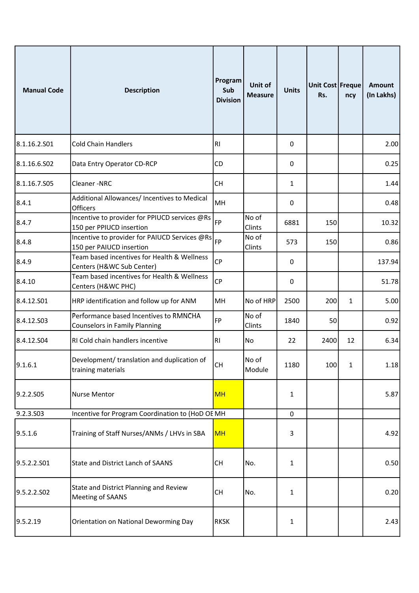| <b>Manual Code</b> | <b>Description</b>                                                             | Program<br>Sub<br><b>Division</b> | Unit of<br><b>Measure</b> | <b>Units</b> | Unit Cost Freque<br>Rs. | ncy          | <b>Amount</b><br>(In Lakhs) |
|--------------------|--------------------------------------------------------------------------------|-----------------------------------|---------------------------|--------------|-------------------------|--------------|-----------------------------|
| 8.1.16.2.S01       | <b>Cold Chain Handlers</b>                                                     | RI                                |                           | 0            |                         |              | 2.00                        |
| 8.1.16.6.S02       | Data Entry Operator CD-RCP                                                     | CD                                |                           | 0            |                         |              | 0.25                        |
| 8.1.16.7.S05       | Cleaner-NRC                                                                    | <b>CH</b>                         |                           | 1            |                         |              | 1.44                        |
| 8.4.1              | Additional Allowances/ Incentives to Medical<br>Officers                       | MH                                |                           | 0            |                         |              | 0.48                        |
| 8.4.7              | Incentive to provider for PPIUCD services @Rs<br>150 per PPIUCD insertion      | FP                                | No of<br>Clints           | 6881         | 150                     |              | 10.32                       |
| 8.4.8              | Incentive to provider for PAIUCD Services @Rs<br>150 per PAIUCD insertion      | FP                                | No of<br>Clints           | 573          | 150                     |              | 0.86                        |
| 8.4.9              | Team based incentives for Health & Wellness<br>Centers (H&WC Sub Center)       | <b>CP</b>                         |                           | 0            |                         |              | 137.94                      |
| 8.4.10             | Team based incentives for Health & Wellness<br>Centers (H&WC PHC)              | <b>CP</b>                         |                           | $\pmb{0}$    |                         |              | 51.78                       |
| 8.4.12.501         | HRP identification and follow up for ANM                                       | MH                                | No of HRP                 | 2500         | 200                     | $\mathbf{1}$ | 5.00                        |
| 8.4.12.503         | Performance based Incentives to RMNCHA<br><b>Counselors in Family Planning</b> | FP                                | No of<br>Clints           | 1840         | 50                      |              | 0.92                        |
| 8.4.12.S04         | RI Cold chain handlers incentive                                               | R <sub>1</sub>                    | No                        | 22           | 2400                    | 12           | 6.34                        |
| 9.1.6.1            | Development/ translation and duplication of<br>training materials              | CH                                | No of<br>Module           | 1180         | 100                     | $\mathbf{1}$ | 1.18                        |
| 9.2.2.S05          | Nurse Mentor                                                                   | <b>MH</b>                         |                           | 1            |                         |              | 5.87                        |
| 9.2.3.S03          | Incentive for Program Coordination to (HoD OE MH                               |                                   |                           | $\pmb{0}$    |                         |              |                             |
| 9.5.1.6            | Training of Staff Nurses/ANMs / LHVs in SBA                                    | <b>MH</b>                         |                           | 3            |                         |              | 4.92                        |
| 9.5.2.2.501        | State and District Lanch of SAANS                                              | CH                                | No.                       | 1            |                         |              | 0.50                        |
| 9.5.2.2.S02        | State and District Planning and Review<br>Meeting of SAANS                     | CH                                | No.                       | 1            |                         |              | 0.20                        |
| 9.5.2.19           | Orientation on National Deworming Day                                          | <b>RKSK</b>                       |                           | 1            |                         |              | 2.43                        |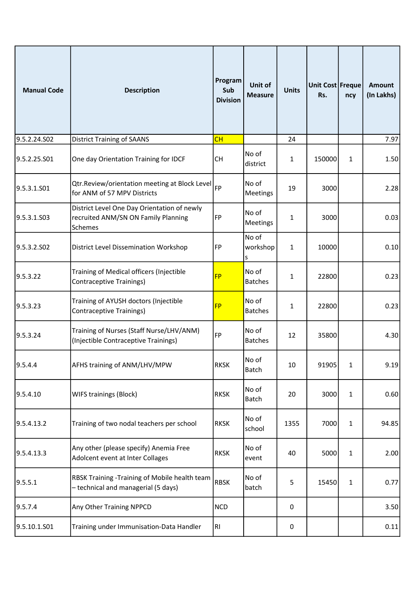| <b>Manual Code</b> | <b>Description</b>                                                                            | Program<br>Sub<br><b>Division</b> | Unit of<br><b>Measure</b> | <b>Units</b> | Unit Cost Freque<br>Rs. | ncy          | <b>Amount</b><br>(In Lakhs) |
|--------------------|-----------------------------------------------------------------------------------------------|-----------------------------------|---------------------------|--------------|-------------------------|--------------|-----------------------------|
| 9.5.2.24.S02       | <b>District Training of SAANS</b>                                                             | CH                                |                           | 24           |                         |              | 7.97                        |
| 9.5.2.25.S01       | One day Orientation Training for IDCF                                                         | <b>CH</b>                         | No of<br>district         | 1            | 150000                  | $\mathbf{1}$ | 1.50                        |
| 9.5.3.1.S01        | Qtr.Review/orientation meeting at Block Level<br>for ANM of 57 MPV Districts                  | FP                                | No of<br>Meetings         | 19           | 3000                    |              | 2.28                        |
| 9.5.3.1.S03        | District Level One Day Orientation of newly<br>recruited ANM/SN ON Family Planning<br>Schemes | FP                                | No of<br>Meetings         | $\mathbf{1}$ | 3000                    |              | 0.03                        |
| 9.5.3.2.SO2        | District Level Dissemination Workshop                                                         | FP                                | No of<br>workshop<br>S    | 1            | 10000                   |              | 0.10                        |
| 9.5.3.22           | Training of Medical officers (Injectible<br><b>Contraceptive Trainings)</b>                   | <b>FP</b>                         | No of<br><b>Batches</b>   | 1            | 22800                   |              | 0.23                        |
| 9.5.3.23           | Training of AYUSH doctors (Injectible<br><b>Contraceptive Trainings)</b>                      | <b>FP</b>                         | No of<br><b>Batches</b>   | 1            | 22800                   |              | 0.23                        |
| 9.5.3.24           | Training of Nurses (Staff Nurse/LHV/ANM)<br>(Injectible Contraceptive Trainings)              | FP                                | No of<br><b>Batches</b>   | 12           | 35800                   |              | 4.30                        |
| 9.5.4.4            | AFHS training of ANM/LHV/MPW                                                                  | <b>RKSK</b>                       | No of<br><b>Batch</b>     | 10           | 91905                   | $\mathbf{1}$ | 9.19                        |
| 9.5.4.10           | WIFS trainings (Block)                                                                        | <b>RKSK</b>                       | No of<br><b>Batch</b>     | 20           | 3000                    | $\mathbf{1}$ | 0.60                        |
| 9.5.4.13.2         | Training of two nodal teachers per school                                                     | <b>RKSK</b>                       | No of<br>school           | 1355         | 7000                    | $\mathbf{1}$ | 94.85                       |
| 9.5.4.13.3         | Any other (please specify) Anemia Free<br>Adolcent event at Inter Collages                    | <b>RKSK</b>                       | No of<br>event            | 40           | 5000                    | 1            | 2.00                        |
| 9.5.5.1            | RBSK Training -Training of Mobile health team<br>- technical and managerial (5 days)          | <b>RBSK</b>                       | No of<br>batch            | 5            | 15450                   | $\mathbf{1}$ | 0.77                        |
| 9.5.7.4            | Any Other Training NPPCD                                                                      | <b>NCD</b>                        |                           | 0            |                         |              | 3.50                        |
| 9.5.10.1.S01       | Training under Immunisation-Data Handler                                                      | RI                                |                           | 0            |                         |              | 0.11                        |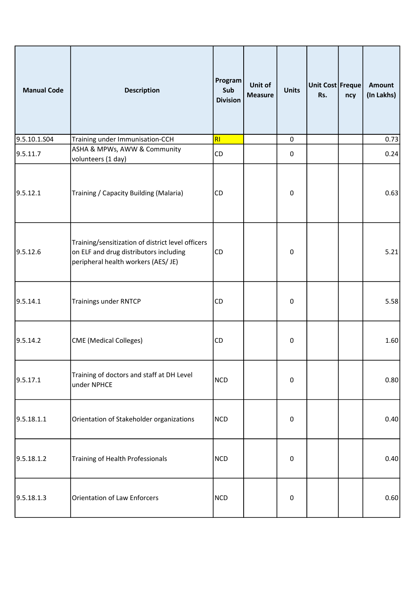| <b>Manual Code</b> | <b>Description</b>                                                                                                                 | Program<br>Sub<br><b>Division</b> | Unit of<br><b>Measure</b> | <b>Units</b> | Unit Cost Freque<br>Rs. | ncy | <b>Amount</b><br>(In Lakhs) |
|--------------------|------------------------------------------------------------------------------------------------------------------------------------|-----------------------------------|---------------------------|--------------|-------------------------|-----|-----------------------------|
| 9.5.10.1.S04       | Training under Immunisation-CCH                                                                                                    | RI                                |                           | $\pmb{0}$    |                         |     | 0.73                        |
| 9.5.11.7           | ASHA & MPWs, AWW & Community<br>volunteers (1 day)                                                                                 | CD                                |                           | $\mathbf 0$  |                         |     | 0.24                        |
| 9.5.12.1           | Training / Capacity Building (Malaria)                                                                                             | <b>CD</b>                         |                           | $\mathbf 0$  |                         |     | 0.63                        |
| 9.5.12.6           | Training/sensitization of district level officers<br>on ELF and drug distributors including<br>peripheral health workers (AES/ JE) | <b>CD</b>                         |                           | $\mathbf 0$  |                         |     | 5.21                        |
| 9.5.14.1           | <b>Trainings under RNTCP</b>                                                                                                       | <b>CD</b>                         |                           | $\pmb{0}$    |                         |     | 5.58                        |
| 9.5.14.2           | <b>CME</b> (Medical Colleges)                                                                                                      | <b>CD</b>                         |                           | $\pmb{0}$    |                         |     | 1.60                        |
| 9.5.17.1           | Training of doctors and staff at DH Level<br>under NPHCE                                                                           | <b>NCD</b>                        |                           | $\mathbf 0$  |                         |     | 0.80                        |
| 9.5.18.1.1         | Orientation of Stakeholder organizations                                                                                           | <b>NCD</b>                        |                           | $\pmb{0}$    |                         |     | 0.40                        |
| 9.5.18.1.2         | Training of Health Professionals                                                                                                   | <b>NCD</b>                        |                           | $\pmb{0}$    |                         |     | 0.40                        |
| 9.5.18.1.3         | <b>Orientation of Law Enforcers</b>                                                                                                | <b>NCD</b>                        |                           | 0            |                         |     | 0.60                        |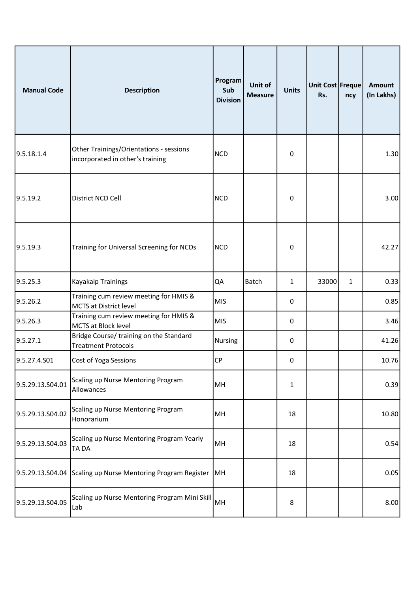| <b>Manual Code</b> | <b>Description</b>                                                          | Program<br>Sub<br><b>Division</b> | Unit of<br><b>Measure</b> | <b>Units</b>     | Unit Cost Freque<br>Rs. | ncy          | <b>Amount</b><br>(In Lakhs) |
|--------------------|-----------------------------------------------------------------------------|-----------------------------------|---------------------------|------------------|-------------------------|--------------|-----------------------------|
| 9.5.18.1.4         | Other Trainings/Orientations - sessions<br>incorporated in other's training | <b>NCD</b>                        |                           | $\pmb{0}$        |                         |              | 1.30                        |
| 9.5.19.2           | District NCD Cell                                                           | <b>NCD</b>                        |                           | $\boldsymbol{0}$ |                         |              | 3.00                        |
| 9.5.19.3           | Training for Universal Screening for NCDs                                   | <b>NCD</b>                        |                           | 0                |                         |              | 42.27                       |
| 9.5.25.3           | <b>Kayakalp Trainings</b>                                                   | QA                                | <b>Batch</b>              | $\mathbf{1}$     | 33000                   | $\mathbf{1}$ | 0.33                        |
| 9.5.26.2           | Training cum review meeting for HMIS &<br><b>MCTS at District level</b>     | <b>MIS</b>                        |                           | 0                |                         |              | 0.85                        |
| 9.5.26.3           | Training cum review meeting for HMIS &<br>MCTS at Block level               | <b>MIS</b>                        |                           | $\boldsymbol{0}$ |                         |              | 3.46                        |
| 9.5.27.1           | Bridge Course/ training on the Standard<br><b>Treatment Protocols</b>       | <b>Nursing</b>                    |                           | $\boldsymbol{0}$ |                         |              | 41.26                       |
| 9.5.27.4.S01       | Cost of Yoga Sessions                                                       | CP                                |                           | 0                |                         |              | 10.76                       |
| 9.5.29.13.S04.01   | Scaling up Nurse Mentoring Program<br>Allowances                            | MH                                |                           | $\mathbf{1}$     |                         |              | 0.39                        |
| 9.5.29.13.S04.02   | Scaling up Nurse Mentoring Program<br>Honorarium                            | MH                                |                           | 18               |                         |              | 10.80                       |
| 9.5.29.13.S04.03   | Scaling up Nurse Mentoring Program Yearly<br>TA DA                          | MH                                |                           | 18               |                         |              | 0.54                        |
| 9.5.29.13.S04.04   | Scaling up Nurse Mentoring Program Register                                 | MH                                |                           | 18               |                         |              | 0.05                        |
| 9.5.29.13.S04.05   | Scaling up Nurse Mentoring Program Mini Skill<br>Lab                        | MH                                |                           | 8                |                         |              | 8.00                        |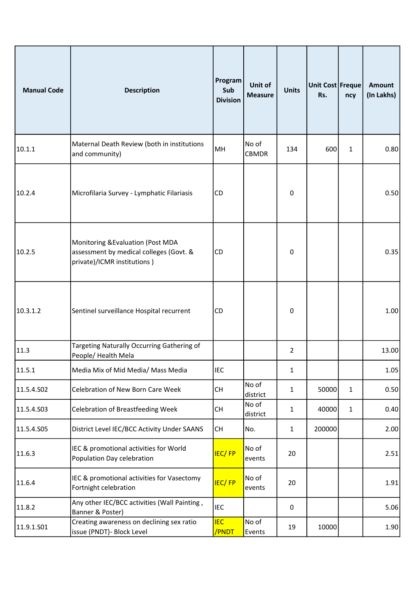| <b>Manual Code</b> | <b>Description</b>                                                                                          | Program<br>Sub<br><b>Division</b> | Unit of<br><b>Measure</b> | <b>Units</b>   | Unit Cost Freque<br>Rs. | ncy          | <b>Amount</b><br>(In Lakhs) |
|--------------------|-------------------------------------------------------------------------------------------------------------|-----------------------------------|---------------------------|----------------|-------------------------|--------------|-----------------------------|
| 10.1.1             | Maternal Death Review (both in institutions<br>and community)                                               | MH                                | No of<br><b>CBMDR</b>     | 134            | 600                     | $\mathbf{1}$ | 0.80                        |
| 10.2.4             | Microfilaria Survey - Lymphatic Filariasis                                                                  | <b>CD</b>                         |                           | 0              |                         |              | 0.50                        |
| 10.2.5             | Monitoring & Evaluation (Post MDA<br>assessment by medical colleges (Govt. &<br>private)/ICMR institutions) | <b>CD</b>                         |                           | 0              |                         |              | 0.35                        |
| 10.3.1.2           | Sentinel surveillance Hospital recurrent                                                                    | <b>CD</b>                         |                           | 0              |                         |              | 1.00                        |
| 11.3               | Targeting Naturally Occurring Gathering of<br>People/ Health Mela                                           |                                   |                           | $\overline{2}$ |                         |              | 13.00                       |
| 11.5.1             | Media Mix of Mid Media/ Mass Media                                                                          | <b>IEC</b>                        |                           | 1              |                         |              | 1.05                        |
| 11.5.4.S02         | Celebration of New Born Care Week                                                                           | CH                                | No of<br>district         | 1              | 50000                   | $\mathbf{1}$ | 0.50                        |
| 11.5.4.S03         | Celebration of Breastfeeding Week                                                                           | <b>CH</b>                         | No of<br>district         | 1              | 40000                   | $\mathbf{1}$ | 0.40                        |
| 11.5.4.S05         | District Level IEC/BCC Activity Under SAANS                                                                 | <b>CH</b>                         | No.                       | 1              | 200000                  |              | 2.00                        |
| 11.6.3             | IEC & promotional activities for World<br>Population Day celebration                                        | IEC/FP                            | No of<br>events           | 20             |                         |              | 2.51                        |
| 11.6.4             | IEC & promotional activities for Vasectomy<br>Fortnight celebration                                         | <b>IEC/FP</b>                     | No of<br>events           | 20             |                         |              | 1.91                        |
| 11.8.2             | Any other IEC/BCC activities (Wall Painting,<br>Banner & Poster)                                            | IEC                               |                           | $\pmb{0}$      |                         |              | 5.06                        |
| 11.9.1.S01         | Creating awareness on declining sex ratio<br>issue (PNDT)- Block Level                                      | <b>IEC</b><br>/PNDT               | No of<br>Events           | 19             | 10000                   |              | 1.90                        |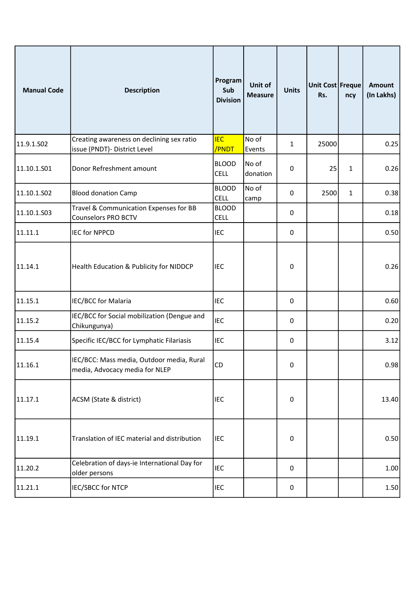| <b>Manual Code</b> | <b>Description</b>                                                          | Program<br>Sub<br><b>Division</b> | Unit of<br><b>Measure</b> | <b>Units</b>     | Unit Cost Freque<br>Rs. | ncy          | <b>Amount</b><br>(In Lakhs) |
|--------------------|-----------------------------------------------------------------------------|-----------------------------------|---------------------------|------------------|-------------------------|--------------|-----------------------------|
| 11.9.1.SO2         | Creating awareness on declining sex ratio<br>issue (PNDT)- District Level   | <b>IEC</b><br>/PNDT               | No of<br>Events           | 1                | 25000                   |              | 0.25                        |
| 11.10.1.501        | Donor Refreshment amount                                                    | <b>BLOOD</b><br><b>CELL</b>       | No of<br>donation         | 0                | 25                      | $\mathbf{1}$ | 0.26                        |
| 11.10.1.502        | <b>Blood donation Camp</b>                                                  | <b>BLOOD</b><br><b>CELL</b>       | No of<br>camp             | 0                | 2500                    | $\mathbf{1}$ | 0.38                        |
| 11.10.1.503        | Travel & Communication Expenses for BB<br><b>Counselors PRO BCTV</b>        | <b>BLOOD</b><br><b>CELL</b>       |                           | 0                |                         |              | 0.18                        |
| 11.11.1            | <b>IEC for NPPCD</b>                                                        | <b>IEC</b>                        |                           | $\mathbf 0$      |                         |              | 0.50                        |
| 11.14.1            | Health Education & Publicity for NIDDCP                                     | <b>IEC</b>                        |                           | $\pmb{0}$        |                         |              | 0.26                        |
| 11.15.1            | IEC/BCC for Malaria                                                         | <b>IEC</b>                        |                           | 0                |                         |              | 0.60                        |
| 11.15.2            | IEC/BCC for Social mobilization (Dengue and<br>Chikungunya)                 | <b>IEC</b>                        |                           | 0                |                         |              | 0.20                        |
| 11.15.4            | Specific IEC/BCC for Lymphatic Filariasis                                   | <b>IEC</b>                        |                           | $\boldsymbol{0}$ |                         |              | 3.12                        |
| 11.16.1            | IEC/BCC: Mass media, Outdoor media, Rural<br>media, Advocacy media for NLEP | CD                                |                           | 0                |                         |              | 0.98                        |
| 11.17.1            | ACSM (State & district)                                                     | <b>IEC</b>                        |                           | $\pmb{0}$        |                         |              | 13.40                       |
| 11.19.1            | Translation of IEC material and distribution                                | <b>IEC</b>                        |                           | $\boldsymbol{0}$ |                         |              | 0.50                        |
| 11.20.2            | Celebration of days-ie International Day for<br>older persons               | <b>IEC</b>                        |                           | 0                |                         |              | 1.00                        |
| 11.21.1            | IEC/SBCC for NTCP                                                           | <b>IEC</b>                        |                           | $\pmb{0}$        |                         |              | 1.50                        |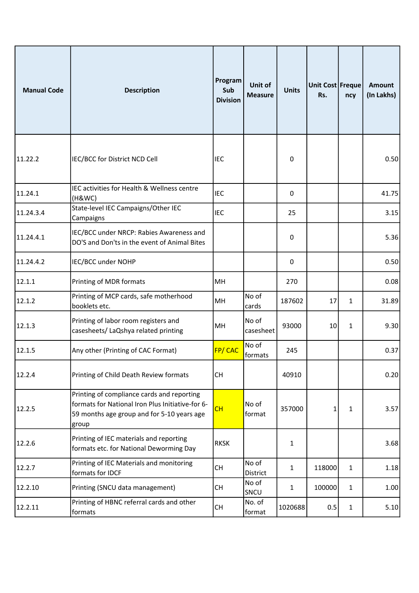| <b>Manual Code</b> | <b>Description</b>                                                                                                                                    | Program<br>Sub<br><b>Division</b> | Unit of<br><b>Measure</b> | <b>Units</b> | Unit Cost Freque<br>Rs. | ncy          | <b>Amount</b><br>(In Lakhs) |
|--------------------|-------------------------------------------------------------------------------------------------------------------------------------------------------|-----------------------------------|---------------------------|--------------|-------------------------|--------------|-----------------------------|
| 11.22.2            | IEC/BCC for District NCD Cell                                                                                                                         | <b>IEC</b>                        |                           | 0            |                         |              | 0.50                        |
| 11.24.1            | IEC activities for Health & Wellness centre<br>(H&WC)                                                                                                 | <b>IEC</b>                        |                           | 0            |                         |              | 41.75                       |
| 11.24.3.4          | State-level IEC Campaigns/Other IEC<br>Campaigns                                                                                                      | <b>IEC</b>                        |                           | 25           |                         |              | 3.15                        |
| 11.24.4.1          | IEC/BCC under NRCP: Rabies Awareness and<br>DO'S and Don'ts in the event of Animal Bites                                                              |                                   |                           | 0            |                         |              | 5.36                        |
| 11.24.4.2          | IEC/BCC under NOHP                                                                                                                                    |                                   |                           | 0            |                         |              | 0.50                        |
| 12.1.1             | Printing of MDR formats                                                                                                                               | MH                                |                           | 270          |                         |              | 0.08                        |
| 12.1.2             | Printing of MCP cards, safe motherhood<br>booklets etc.                                                                                               | MH                                | No of<br>cards            | 187602       | 17                      | $\mathbf{1}$ | 31.89                       |
| 12.1.3             | Printing of labor room registers and<br>casesheets/ LaQshya related printing                                                                          | MH                                | No of<br>casesheet        | 93000        | 10                      | 1            | 9.30                        |
| 12.1.5             | Any other (Printing of CAC Format)                                                                                                                    | <b>FP/CAC</b>                     | No of<br>formats          | 245          |                         |              | 0.37                        |
| 12.2.4             | Printing of Child Death Review formats                                                                                                                | <b>CH</b>                         |                           | 40910        |                         |              | 0.20                        |
| 12.2.5             | Printing of compliance cards and reporting<br>formats for National Iron Plus Initiative-for 6-<br>59 months age group and for 5-10 years age<br>group | CH                                | No of<br>format           | 357000       | 1                       | $\mathbf{1}$ | 3.57                        |
| 12.2.6             | Printing of IEC materials and reporting<br>formats etc. for National Deworming Day                                                                    | <b>RKSK</b>                       |                           | 1            |                         |              | 3.68                        |
| 12.2.7             | Printing of IEC Materials and monitoring<br>formats for IDCF                                                                                          | CH                                | No of<br>District         | $\mathbf{1}$ | 118000                  | $\mathbf{1}$ | 1.18                        |
| 12.2.10            | Printing (SNCU data management)                                                                                                                       | <b>CH</b>                         | No of<br>SNCU             | 1            | 100000                  | $\mathbf{1}$ | 1.00                        |
| 12.2.11            | Printing of HBNC referral cards and other<br>formats                                                                                                  | <b>CH</b>                         | No. of<br>format          | 1020688      | 0.5                     | $\mathbf{1}$ | 5.10                        |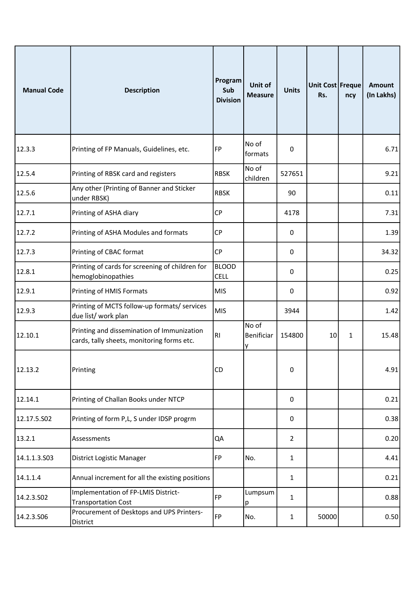| <b>Manual Code</b> | <b>Description</b>                                                                       | Program<br>Sub<br><b>Division</b> | Unit of<br><b>Measure</b> | <b>Units</b>   | Unit Cost Freque<br>Rs. | ncy          | <b>Amount</b><br>(In Lakhs) |
|--------------------|------------------------------------------------------------------------------------------|-----------------------------------|---------------------------|----------------|-------------------------|--------------|-----------------------------|
| 12.3.3             | Printing of FP Manuals, Guidelines, etc.                                                 | FP                                | No of<br>formats          | 0              |                         |              | 6.71                        |
| 12.5.4             | Printing of RBSK card and registers                                                      | <b>RBSK</b>                       | No of<br>children         | 527651         |                         |              | 9.21                        |
| 12.5.6             | Any other (Printing of Banner and Sticker<br>under RBSK)                                 | <b>RBSK</b>                       |                           | 90             |                         |              | 0.11                        |
| 12.7.1             | Printing of ASHA diary                                                                   | <b>CP</b>                         |                           | 4178           |                         |              | 7.31                        |
| 12.7.2             | Printing of ASHA Modules and formats                                                     | <b>CP</b>                         |                           | 0              |                         |              | 1.39                        |
| 12.7.3             | Printing of CBAC format                                                                  | <b>CP</b>                         |                           | 0              |                         |              | 34.32                       |
| 12.8.1             | Printing of cards for screening of children for<br>hemoglobinopathies                    | <b>BLOOD</b><br><b>CELL</b>       |                           | 0              |                         |              | 0.25                        |
| 12.9.1             | Printing of HMIS Formats                                                                 | <b>MIS</b>                        |                           | 0              |                         |              | 0.92                        |
| 12.9.3             | Printing of MCTS follow-up formats/ services<br>due list/ work plan                      | <b>MIS</b>                        |                           | 3944           |                         |              | 1.42                        |
| 12.10.1            | Printing and dissemination of Immunization<br>cards, tally sheets, monitoring forms etc. | RI                                | No of<br>Benificiar<br>у  | 154800         | 10                      | $\mathbf{1}$ | 15.48                       |
| 12.13.2            | Printing                                                                                 | <b>CD</b>                         |                           | 0              |                         |              | 4.91                        |
| 12.14.1            | Printing of Challan Books under NTCP                                                     |                                   |                           | $\mathbf 0$    |                         |              | 0.21                        |
| 12.17.5.S02        | Printing of form P,L, S under IDSP progrm                                                |                                   |                           | 0              |                         |              | 0.38                        |
| 13.2.1             | Assessments                                                                              | QA                                |                           | $\overline{2}$ |                         |              | 0.20                        |
| 14.1.1.3.503       | District Logistic Manager                                                                | FP                                | No.                       | 1              |                         |              | 4.41                        |
| 14.1.1.4           | Annual increment for all the existing positions                                          |                                   |                           | 1              |                         |              | 0.21                        |
| 14.2.3.S02         | Implementation of FP-LMIS District-<br><b>Transportation Cost</b>                        | FP                                | Lumpsum<br>p              | 1              |                         |              | 0.88                        |
| 14.2.3.506         | Procurement of Desktops and UPS Printers-<br>District                                    | FP                                | No.                       | 1              | 50000                   |              | 0.50                        |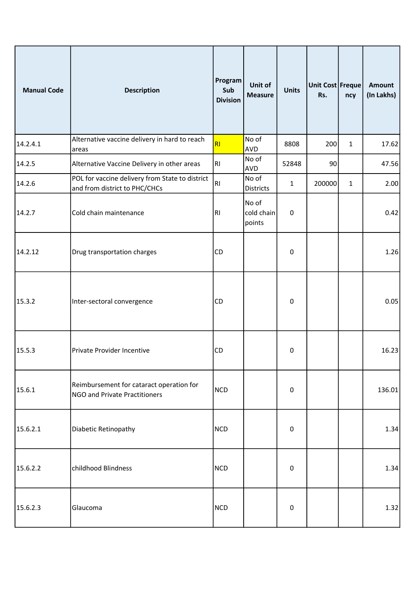| <b>Manual Code</b> | <b>Description</b>                                                               | Program<br>Sub<br><b>Division</b> | Unit of<br><b>Measure</b>     | <b>Units</b> | Unit Cost Freque<br>Rs. | ncy          | <b>Amount</b><br>(In Lakhs) |
|--------------------|----------------------------------------------------------------------------------|-----------------------------------|-------------------------------|--------------|-------------------------|--------------|-----------------------------|
| 14.2.4.1           | Alternative vaccine delivery in hard to reach<br>areas                           | RI                                | No of<br>AVD                  | 8808         | 200                     | $\mathbf{1}$ | 17.62                       |
| 14.2.5             | Alternative Vaccine Delivery in other areas                                      | RI.                               | No of<br>AVD                  | 52848        | 90                      |              | 47.56                       |
| 14.2.6             | POL for vaccine delivery from State to district<br>and from district to PHC/CHCs | R <sub>l</sub>                    | No of<br>Districts            | $\mathbf{1}$ | 200000                  | $\mathbf{1}$ | 2.00                        |
| 14.2.7             | Cold chain maintenance                                                           | RI                                | No of<br>cold chain<br>points | $\pmb{0}$    |                         |              | 0.42                        |
| 14.2.12            | Drug transportation charges                                                      | <b>CD</b>                         |                               | $\pmb{0}$    |                         |              | 1.26                        |
| 15.3.2             | Inter-sectoral convergence                                                       | <b>CD</b>                         |                               | $\pmb{0}$    |                         |              | 0.05                        |
| 15.5.3             | Private Provider Incentive                                                       | <b>CD</b>                         |                               | 0            |                         |              | 16.23                       |
| 15.6.1             | Reimbursement for cataract operation for<br><b>NGO and Private Practitioners</b> | <b>NCD</b>                        |                               | $\pmb{0}$    |                         |              | 136.01                      |
| 15.6.2.1           | Diabetic Retinopathy                                                             | <b>NCD</b>                        |                               | $\pmb{0}$    |                         |              | 1.34                        |
| 15.6.2.2           | childhood Blindness                                                              | <b>NCD</b>                        |                               | $\mathbf 0$  |                         |              | 1.34                        |
| 15.6.2.3           | Glaucoma                                                                         | <b>NCD</b>                        |                               | $\pmb{0}$    |                         |              | 1.32                        |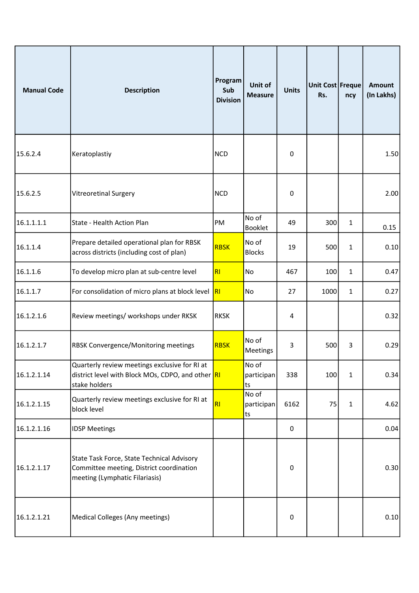| <b>Manual Code</b> | <b>Description</b>                                                                                                       | Program<br>Sub<br><b>Division</b> | Unit of<br><b>Measure</b> | <b>Units</b>     | Unit Cost Freque<br>Rs. | ncy          | <b>Amount</b><br>(In Lakhs) |
|--------------------|--------------------------------------------------------------------------------------------------------------------------|-----------------------------------|---------------------------|------------------|-------------------------|--------------|-----------------------------|
| 15.6.2.4           | Keratoplastiy                                                                                                            | <b>NCD</b>                        |                           | 0                |                         |              | 1.50                        |
| 15.6.2.5           | <b>Vitreoretinal Surgery</b>                                                                                             | <b>NCD</b>                        |                           | 0                |                         |              | 2.00                        |
| 16.1.1.1.1         | State - Health Action Plan                                                                                               | PM                                | No of<br><b>Booklet</b>   | 49               | 300                     | $\mathbf{1}$ | 0.15                        |
| 16.1.1.4           | Prepare detailed operational plan for RBSK<br>across districts (including cost of plan)                                  | <b>RBSK</b>                       | No of<br><b>Blocks</b>    | 19               | 500                     | $\mathbf{1}$ | 0.10                        |
| 16.1.1.6           | To develop micro plan at sub-centre level                                                                                | RI                                | No                        | 467              | 100                     | $\mathbf{1}$ | 0.47                        |
| 16.1.1.7           | For consolidation of micro plans at block level                                                                          | R                                 | No                        | 27               | 1000                    | $\mathbf{1}$ | 0.27                        |
| 16.1.2.1.6         | Review meetings/ workshops under RKSK                                                                                    | <b>RKSK</b>                       |                           | 4                |                         |              | 0.32                        |
| 16.1.2.1.7         | RBSK Convergence/Monitoring meetings                                                                                     | <b>RBSK</b>                       | No of<br>Meetings         | 3                | 500                     | 3            | 0.29                        |
| 16.1.2.1.14        | Quarterly review meetings exclusive for RI at<br>district level with Block MOs, CDPO, and other RI<br>stake holders      |                                   | No of<br>participan<br>ts | 338              | 100                     | $\mathbf{1}$ | 0.34                        |
| 16.1.2.1.15        | Quarterly review meetings exclusive for RI at<br>block level                                                             | RI                                | No of<br>participan<br>ts | 6162             | 75                      | $\mathbf{1}$ | 4.62                        |
| 16.1.2.1.16        | <b>IDSP Meetings</b>                                                                                                     |                                   |                           | $\boldsymbol{0}$ |                         |              | 0.04                        |
| 16.1.2.1.17        | State Task Force, State Technical Advisory<br>Committee meeting, District coordination<br>meeting (Lymphatic Filariasis) |                                   |                           | 0                |                         |              | 0.30                        |
| 16.1.2.1.21        | Medical Colleges (Any meetings)                                                                                          |                                   |                           | $\pmb{0}$        |                         |              | 0.10                        |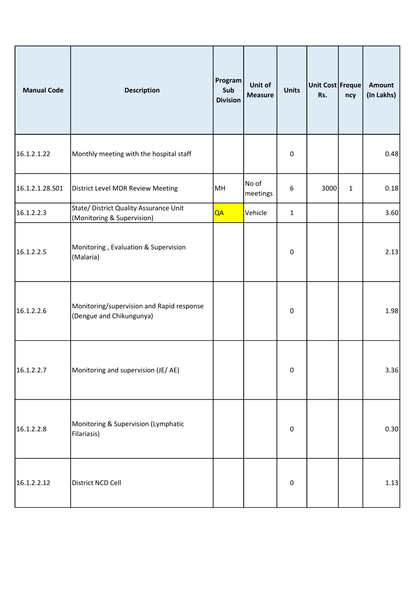| <b>Manual Code</b> | <b>Description</b>                                                    | Program<br>Sub<br><b>Division</b> | Unit of<br><b>Measure</b> | <b>Units</b>     | Unit Cost Freque<br>Rs. | ncy          | <b>Amount</b><br>(In Lakhs) |
|--------------------|-----------------------------------------------------------------------|-----------------------------------|---------------------------|------------------|-------------------------|--------------|-----------------------------|
| 16.1.2.1.22        | Monthly meeting with the hospital staff                               |                                   |                           | $\pmb{0}$        |                         |              | 0.48                        |
| 16.1.2.1.28.501    | District Level MDR Review Meeting                                     | MH                                | No of<br>meetings         | $\boldsymbol{6}$ | 3000                    | $\mathbf{1}$ | 0.18                        |
| 16.1.2.2.3         | State/ District Quality Assurance Unit<br>(Monitoring & Supervision)  | QA                                | Vehicle                   | $\mathbf{1}$     |                         |              | 3.60                        |
| 16.1.2.2.5         | Monitoring, Evaluation & Supervision<br>(Malaria)                     |                                   |                           | $\boldsymbol{0}$ |                         |              | 2.13                        |
| 16.1.2.2.6         | Monitoring/supervision and Rapid response<br>(Dengue and Chikungunya) |                                   |                           | 0                |                         |              | 1.98                        |
| 16.1.2.2.7         | Monitoring and supervision (JE/AE)                                    |                                   |                           | $\pmb{0}$        |                         |              | 3.36                        |
| 16.1.2.2.8         | Monitoring & Supervision (Lymphatic<br>Filariasis)                    |                                   |                           | $\pmb{0}$        |                         |              | 0.30                        |
| 16.1.2.2.12        | District NCD Cell                                                     |                                   |                           | $\pmb{0}$        |                         |              | 1.13                        |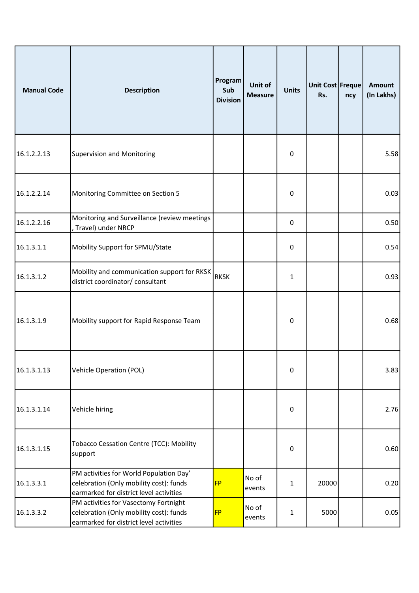| <b>Manual Code</b> | <b>Description</b>                                                                                                            | Program<br>Sub<br><b>Division</b> | Unit of<br><b>Measure</b> | <b>Units</b>     | Unit Cost Freque<br>Rs. | ncy | <b>Amount</b><br>(In Lakhs) |
|--------------------|-------------------------------------------------------------------------------------------------------------------------------|-----------------------------------|---------------------------|------------------|-------------------------|-----|-----------------------------|
| 16.1.2.2.13        | <b>Supervision and Monitoring</b>                                                                                             |                                   |                           | 0                |                         |     | 5.58                        |
| 16.1.2.2.14        | Monitoring Committee on Section 5                                                                                             |                                   |                           | 0                |                         |     | 0.03                        |
| 16.1.2.2.16        | Monitoring and Surveillance (review meetings<br>, Travel) under NRCP                                                          |                                   |                           | 0                |                         |     | 0.50                        |
| 16.1.3.1.1         | Mobility Support for SPMU/State                                                                                               |                                   |                           | 0                |                         |     | 0.54                        |
| 16.1.3.1.2         | Mobility and communication support for RKSK<br>district coordinator/ consultant                                               | RKSK                              |                           | 1                |                         |     | 0.93                        |
| 16.1.3.1.9         | Mobility support for Rapid Response Team                                                                                      |                                   |                           | 0                |                         |     | 0.68                        |
| 16.1.3.1.13        | Vehicle Operation (POL)                                                                                                       |                                   |                           | 0                |                         |     | 3.83                        |
| 16.1.3.1.14        | Vehicle hiring                                                                                                                |                                   |                           | $\boldsymbol{0}$ |                         |     | 2.76                        |
| 16.1.3.1.15        | <b>Tobacco Cessation Centre (TCC): Mobility</b><br>support                                                                    |                                   |                           | 0                |                         |     | 0.60                        |
| 16.1.3.3.1         | PM activities for World Population Day'<br>celebration (Only mobility cost): funds<br>earmarked for district level activities | <b>FP</b>                         | No of<br>events           | $\mathbf{1}$     | 20000                   |     | 0.20                        |
| 16.1.3.3.2         | PM activities for Vasectomy Fortnight<br>celebration (Only mobility cost): funds<br>earmarked for district level activities   | <b>FP</b>                         | No of<br>events           | 1                | 5000                    |     | 0.05                        |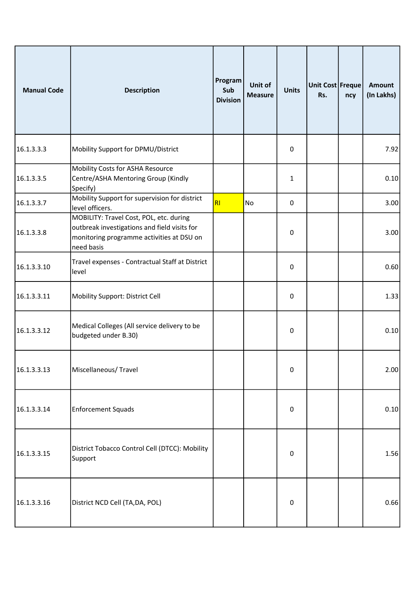| <b>Manual Code</b> | <b>Description</b>                                                                                                                                 | Program<br>Sub<br><b>Division</b> | Unit of<br><b>Measure</b> | <b>Units</b>     | Unit Cost Freque<br>Rs. | ncy | <b>Amount</b><br>(In Lakhs) |
|--------------------|----------------------------------------------------------------------------------------------------------------------------------------------------|-----------------------------------|---------------------------|------------------|-------------------------|-----|-----------------------------|
| 16.1.3.3.3         | Mobility Support for DPMU/District                                                                                                                 |                                   |                           | 0                |                         |     | 7.92                        |
| 16.1.3.3.5         | Mobility Costs for ASHA Resource<br>Centre/ASHA Mentoring Group (Kindly<br>Specify)                                                                |                                   |                           | 1                |                         |     | 0.10                        |
| 16.1.3.3.7         | Mobility Support for supervision for district<br>level officers.                                                                                   | RI                                | No                        | 0                |                         |     | 3.00                        |
| 16.1.3.3.8         | MOBILITY: Travel Cost, POL, etc. during<br>outbreak investigations and field visits for<br>monitoring programme activities at DSU on<br>need basis |                                   |                           | $\mathbf 0$      |                         |     | 3.00                        |
| 16.1.3.3.10        | Travel expenses - Contractual Staff at District<br>level                                                                                           |                                   |                           | 0                |                         |     | 0.60                        |
| 16.1.3.3.11        | Mobility Support: District Cell                                                                                                                    |                                   |                           | 0                |                         |     | 1.33                        |
| 16.1.3.3.12        | Medical Colleges (All service delivery to be<br>budgeted under B.30)                                                                               |                                   |                           | 0                |                         |     | 0.10                        |
| 16.1.3.3.13        | Miscellaneous/Travel                                                                                                                               |                                   |                           | 0                |                         |     | 2.00                        |
| 16.1.3.3.14        | <b>Enforcement Squads</b>                                                                                                                          |                                   |                           | $\boldsymbol{0}$ |                         |     | 0.10                        |
| 16.1.3.3.15        | District Tobacco Control Cell (DTCC): Mobility<br>Support                                                                                          |                                   |                           | 0                |                         |     | 1.56                        |
| 16.1.3.3.16        | District NCD Cell (TA, DA, POL)                                                                                                                    |                                   |                           | $\boldsymbol{0}$ |                         |     | 0.66                        |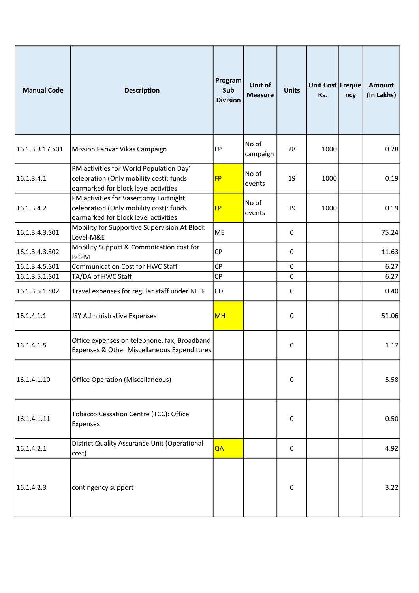| <b>Manual Code</b> | <b>Description</b>                                                                                                         | Program<br>Sub<br><b>Division</b> | Unit of<br><b>Measure</b> | <b>Units</b> | Unit Cost Freque<br>Rs. | ncy | <b>Amount</b><br>(In Lakhs) |
|--------------------|----------------------------------------------------------------------------------------------------------------------------|-----------------------------------|---------------------------|--------------|-------------------------|-----|-----------------------------|
| 16.1.3.3.17.S01    | Mission Parivar Vikas Campaign                                                                                             | FP                                | No of<br>campaign         | 28           | 1000                    |     | 0.28                        |
| 16.1.3.4.1         | PM activities for World Population Day'<br>celebration (Only mobility cost): funds<br>earmarked for block level activities | <b>FP</b>                         | No of<br>events           | 19           | 1000                    |     | 0.19                        |
| 16.1.3.4.2         | PM activities for Vasectomy Fortnight<br>celebration (Only mobility cost): funds<br>earmarked for block level activities   | <b>FP</b>                         | No of<br>events           | 19           | 1000                    |     | 0.19                        |
| 16.1.3.4.3.S01     | Mobility for Supportive Supervision At Block<br>Level-M&E                                                                  | <b>ME</b>                         |                           | 0            |                         |     | 75.24                       |
| 16.1.3.4.3.502     | Mobility Support & Commnication cost for<br><b>BCPM</b>                                                                    | <b>CP</b>                         |                           | 0            |                         |     | 11.63                       |
| 16.1.3.4.5.S01     | <b>Communication Cost for HWC Staff</b>                                                                                    | <b>CP</b>                         |                           | $\mathbf 0$  |                         |     | 6.27                        |
| 16.1.3.5.1.S01     | TA/DA of HWC Staff                                                                                                         | <b>CP</b>                         |                           | 0            |                         |     | 6.27                        |
| 16.1.3.5.1.502     | Travel expenses for regular staff under NLEP                                                                               | <b>CD</b>                         |                           | 0            |                         |     | 0.40                        |
| 16.1.4.1.1         | JSY Administrative Expenses                                                                                                | <b>MH</b>                         |                           | 0            |                         |     | 51.06                       |
| 16.1.4.1.5         | Office expenses on telephone, fax, Broadband<br>Expenses & Other Miscellaneous Expenditures                                |                                   |                           | 0            |                         |     | 1.17                        |
| 16.1.4.1.10        | <b>Office Operation (Miscellaneous)</b>                                                                                    |                                   |                           | 0            |                         |     | 5.58                        |
| 16.1.4.1.11        | Tobacco Cessation Centre (TCC): Office<br>Expenses                                                                         |                                   |                           | 0            |                         |     | 0.50                        |
| 16.1.4.2.1         | District Quality Assurance Unit (Operational<br>cost)                                                                      | QA                                |                           | 0            |                         |     | 4.92                        |
| 16.1.4.2.3         | contingency support                                                                                                        |                                   |                           | 0            |                         |     | 3.22                        |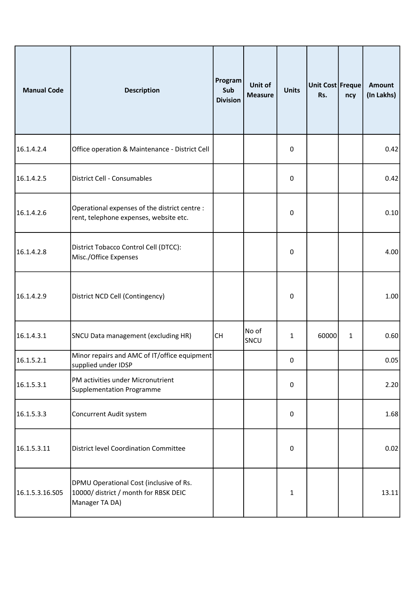| <b>Manual Code</b> | <b>Description</b>                                                                                 | Program<br>Sub<br><b>Division</b> | Unit of<br><b>Measure</b> | <b>Units</b>     | Unit Cost Freque<br>Rs. | ncy          | <b>Amount</b><br>(In Lakhs) |
|--------------------|----------------------------------------------------------------------------------------------------|-----------------------------------|---------------------------|------------------|-------------------------|--------------|-----------------------------|
| 16.1.4.2.4         | Office operation & Maintenance - District Cell                                                     |                                   |                           | $\mathbf 0$      |                         |              | 0.42                        |
| 16.1.4.2.5         | District Cell - Consumables                                                                        |                                   |                           | $\pmb{0}$        |                         |              | 0.42                        |
| 16.1.4.2.6         | Operational expenses of the district centre :<br>rent, telephone expenses, website etc.            |                                   |                           | $\pmb{0}$        |                         |              | 0.10                        |
| 16.1.4.2.8         | District Tobacco Control Cell (DTCC):<br>Misc./Office Expenses                                     |                                   |                           | $\mathbf 0$      |                         |              | 4.00                        |
| 16.1.4.2.9         | District NCD Cell (Contingency)                                                                    |                                   |                           | $\pmb{0}$        |                         |              | 1.00                        |
| 16.1.4.3.1         | SNCU Data management (excluding HR)                                                                | <b>CH</b>                         | No of<br>SNCU             | 1                | 60000                   | $\mathbf{1}$ | 0.60                        |
| 16.1.5.2.1         | Minor repairs and AMC of IT/office equipment<br>supplied under IDSP                                |                                   |                           | 0                |                         |              | 0.05                        |
| 16.1.5.3.1         | PM activities under Micronutrient<br>Supplementation Programme                                     |                                   |                           | $\boldsymbol{0}$ |                         |              | 2.20                        |
| 16.1.5.3.3         | Concurrent Audit system                                                                            |                                   |                           | $\boldsymbol{0}$ |                         |              | 1.68                        |
| 16.1.5.3.11        | District level Coordination Committee                                                              |                                   |                           | $\pmb{0}$        |                         |              | 0.02                        |
| 16.1.5.3.16.S05    | DPMU Operational Cost (inclusive of Rs.<br>10000/ district / month for RBSK DEIC<br>Manager TA DA) |                                   |                           | $\mathbf{1}$     |                         |              | 13.11                       |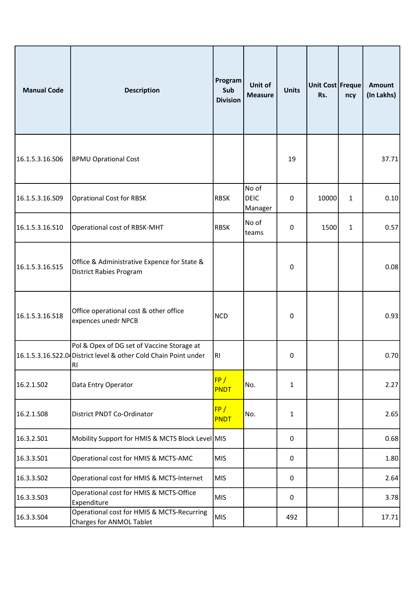| <b>Manual Code</b> | <b>Description</b>                                                                                                  | Program<br>Sub<br><b>Division</b> | Unit of<br><b>Measure</b>       | <b>Units</b> | Unit Cost Freque<br>Rs. | ncy | <b>Amount</b><br>(In Lakhs) |
|--------------------|---------------------------------------------------------------------------------------------------------------------|-----------------------------------|---------------------------------|--------------|-------------------------|-----|-----------------------------|
| 16.1.5.3.16.S06    | <b>BPMU Oprational Cost</b>                                                                                         |                                   |                                 | 19           |                         |     | 37.71                       |
| 16.1.5.3.16.S09    | <b>Oprational Cost for RBSK</b>                                                                                     | <b>RBSK</b>                       | No of<br><b>DEIC</b><br>Manager | 0            | 10000                   | 1   | 0.10                        |
| 16.1.5.3.16.S10    | Operational cost of RBSK-MHT                                                                                        | <b>RBSK</b>                       | No of<br>teams                  | 0            | 1500                    | 1   | 0.57                        |
| 16.1.5.3.16.S15    | Office & Administrative Expence for State &<br><b>District Rabies Program</b>                                       |                                   |                                 | 0            |                         |     | 0.08                        |
| 16.1.5.3.16.518    | Office operational cost & other office<br>expences unedr NPCB                                                       | <b>NCD</b>                        |                                 | 0            |                         |     | 0.93                        |
|                    | Pol & Opex of DG set of Vaccine Storage at<br>16.1.5.3.16.S22.0 District level & other Cold Chain Point under<br>RI | RI                                |                                 | 0            |                         |     | 0.70                        |
| 16.2.1.SO2         | Data Entry Operator                                                                                                 | FP/<br><b>PNDT</b>                | No.                             | 1            |                         |     | 2.27                        |
| 16.2.1.S08         | District PNDT Co-Ordinator                                                                                          | FP/<br>PNDT                       | No.                             | 1            |                         |     | 2.65                        |
| 16.3.2.S01         | Mobility Support for HMIS & MCTS Block Level MIS                                                                    |                                   |                                 | $\mathbf 0$  |                         |     | 0.68                        |
| 16.3.3.S01         | Operational cost for HMIS & MCTS-AMC                                                                                | <b>MIS</b>                        |                                 | 0            |                         |     | 1.80                        |
| 16.3.3.502         | Operational cost for HMIS & MCTS-Internet                                                                           | <b>MIS</b>                        |                                 | 0            |                         |     | 2.64                        |
| 16.3.3.503         | Operational cost for HMIS & MCTS-Office<br>Expenditure                                                              | <b>MIS</b>                        |                                 | 0            |                         |     | 3.78                        |
| 16.3.3.504         | Operational cost for HMIS & MCTS-Recurring<br>Charges for ANMOL Tablet                                              | <b>MIS</b>                        |                                 | 492          |                         |     | 17.71                       |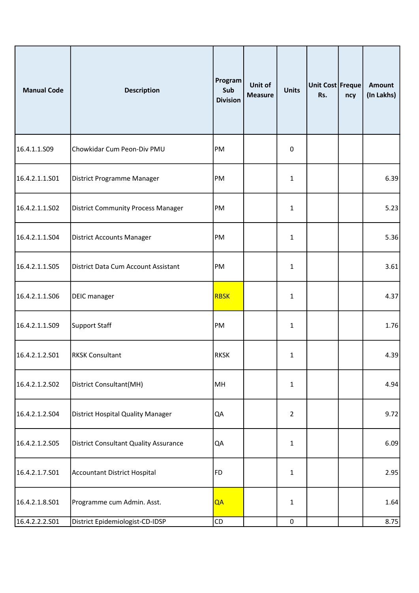| <b>Manual Code</b> | <b>Description</b>                           | Program<br>Sub<br><b>Division</b> | Unit of<br><b>Measure</b> | <b>Units</b>   | Unit Cost Freque<br>Rs. | ncy | <b>Amount</b><br>(In Lakhs) |
|--------------------|----------------------------------------------|-----------------------------------|---------------------------|----------------|-------------------------|-----|-----------------------------|
| 16.4.1.1.S09       | Chowkidar Cum Peon-Div PMU                   | PM                                |                           | 0              |                         |     |                             |
| 16.4.2.1.1.S01     | District Programme Manager                   | PM                                |                           | 1              |                         |     | 6.39                        |
| 16.4.2.1.1.S02     | <b>District Community Process Manager</b>    | PM                                |                           | 1              |                         |     | 5.23                        |
| 16.4.2.1.1.S04     | <b>District Accounts Manager</b>             | PM                                |                           | 1              |                         |     | 5.36                        |
| 16.4.2.1.1.S05     | District Data Cum Account Assistant          | PM                                |                           | 1              |                         |     | 3.61                        |
| 16.4.2.1.1.S06     | <b>DEIC</b> manager                          | <b>RBSK</b>                       |                           | 1              |                         |     | 4.37                        |
| 16.4.2.1.1.509     | Support Staff                                | PM                                |                           | 1              |                         |     | 1.76                        |
| 16.4.2.1.2.S01     | <b>RKSK Consultant</b>                       | <b>RKSK</b>                       |                           | 1              |                         |     | 4.39                        |
| 16.4.2.1.2.502     | District Consultant(MH)                      | MH                                |                           | 1              |                         |     | 4.94                        |
| 16.4.2.1.2.S04     | <b>District Hospital Quality Manager</b>     | QA                                |                           | $\overline{2}$ |                         |     | 9.72                        |
| 16.4.2.1.2.S05     | <b>District Consultant Quality Assurance</b> | QA                                |                           | $\mathbf{1}$   |                         |     | 6.09                        |
| 16.4.2.1.7.S01     | Accountant District Hospital                 | FD                                |                           | $\mathbf{1}$   |                         |     | 2.95                        |
| 16.4.2.1.8.501     | Programme cum Admin. Asst.                   | QA                                |                           | 1              |                         |     | 1.64                        |
| 16.4.2.2.2.501     | District Epidemiologist-CD-IDSP              | ${\sf CD}$                        |                           | $\mathbf 0$    |                         |     | 8.75                        |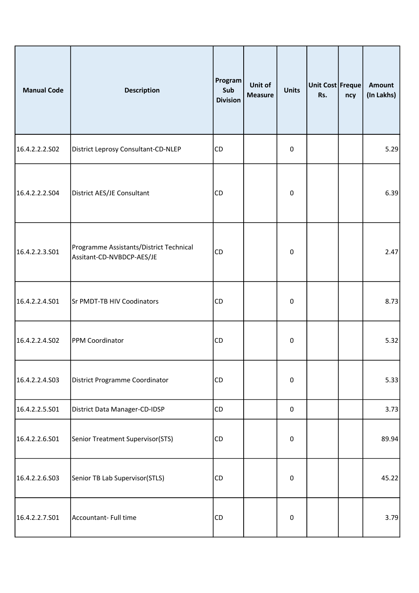| <b>Manual Code</b> | Description                                                          | Program<br>Sub<br><b>Division</b> | Unit of<br><b>Measure</b> | <b>Units</b> | Unit Cost Freque<br>Rs. | ncy | <b>Amount</b><br>(In Lakhs) |
|--------------------|----------------------------------------------------------------------|-----------------------------------|---------------------------|--------------|-------------------------|-----|-----------------------------|
| 16.4.2.2.2.502     | District Leprosy Consultant-CD-NLEP                                  | <b>CD</b>                         |                           | $\pmb{0}$    |                         |     | 5.29                        |
| 16.4.2.2.2.S04     | District AES/JE Consultant                                           | <b>CD</b>                         |                           | $\pmb{0}$    |                         |     | 6.39                        |
| 16.4.2.2.3.S01     | Programme Assistants/District Technical<br>Assitant-CD-NVBDCP-AES/JE | <b>CD</b>                         |                           | $\pmb{0}$    |                         |     | 2.47                        |
| 16.4.2.2.4.S01     | Sr PMDT-TB HIV Coodinators                                           | <b>CD</b>                         |                           | 0            |                         |     | 8.73                        |
| 16.4.2.2.4.S02     | PPM Coordinator                                                      | <b>CD</b>                         |                           | $\pmb{0}$    |                         |     | 5.32                        |
| 16.4.2.2.4.S03     | District Programme Coordinator                                       | <b>CD</b>                         |                           | $\pmb{0}$    |                         |     | 5.33                        |
| 16.4.2.2.5.S01     | District Data Manager-CD-IDSP                                        | <b>CD</b>                         |                           | $\pmb{0}$    |                         |     | 3.73                        |
| 16.4.2.2.6.S01     | Senior Treatment Supervisor(STS)                                     | <b>CD</b>                         |                           | $\pmb{0}$    |                         |     | 89.94                       |
| 16.4.2.2.6.S03     | Senior TB Lab Supervisor(STLS)                                       | <b>CD</b>                         |                           | $\pmb{0}$    |                         |     | 45.22                       |
| 16.4.2.2.7.S01     | Accountant-Full time                                                 | <b>CD</b>                         |                           | $\pmb{0}$    |                         |     | 3.79                        |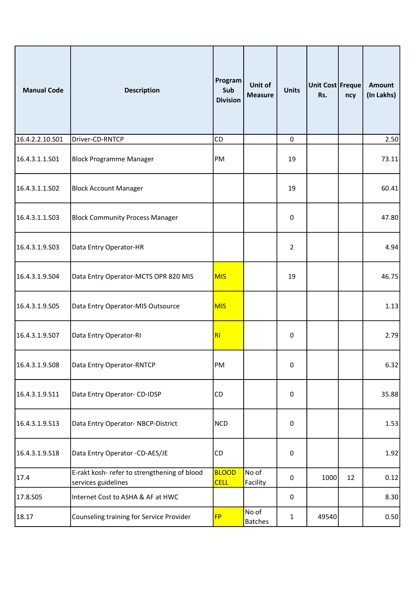| <b>Manual Code</b> | <b>Description</b>                                                  | Program<br>Sub<br><b>Division</b> | Unit of<br><b>Measure</b> | <b>Units</b> | Unit Cost Freque<br>Rs. | ncy | <b>Amount</b><br>(In Lakhs) |
|--------------------|---------------------------------------------------------------------|-----------------------------------|---------------------------|--------------|-------------------------|-----|-----------------------------|
| 16.4.2.2.10.S01    | Driver-CD-RNTCP                                                     | CD                                |                           | 0            |                         |     | 2.50                        |
| 16.4.3.1.1.S01     | <b>Block Programme Manager</b>                                      | PM                                |                           | 19           |                         |     | 73.11                       |
| 16.4.3.1.1.S02     | <b>Block Account Manager</b>                                        |                                   |                           | 19           |                         |     | 60.41                       |
| 16.4.3.1.1.S03     | <b>Block Community Process Manager</b>                              |                                   |                           | 0            |                         |     | 47.80                       |
| 16.4.3.1.9.S03     | Data Entry Operator-HR                                              |                                   |                           | 2            |                         |     | 4.94                        |
| 16.4.3.1.9.S04     | Data Entry Operator-MCTS OPR 820 MIS                                | <b>MIS</b>                        |                           | 19           |                         |     | 46.75                       |
| 16.4.3.1.9.S05     | Data Entry Operator-MIS Outsource                                   | <b>MIS</b>                        |                           |              |                         |     | 1.13                        |
| 16.4.3.1.9.S07     | Data Entry Operator-RI                                              | R1                                |                           | 0            |                         |     | 2.79                        |
| 16.4.3.1.9.S08     | Data Entry Operator-RNTCP                                           | PM                                |                           | $\pmb{0}$    |                         |     | 6.32                        |
| 16.4.3.1.9.S11     | Data Entry Operator- CD-IDSP                                        | <b>CD</b>                         |                           | $\pmb{0}$    |                         |     | 35.88                       |
| 16.4.3.1.9.513     | Data Entry Operator-NBCP-District                                   | <b>NCD</b>                        |                           | $\pmb{0}$    |                         |     | 1.53                        |
| 16.4.3.1.9.S18     | Data Entry Operator -CD-AES/JE                                      | <b>CD</b>                         |                           | $\pmb{0}$    |                         |     | 1.92                        |
| 17.4               | E-rakt kosh- refer to strengthening of blood<br>services guidelines | <b>BLOOD</b><br><b>CELL</b>       | No of<br>Facility         | $\mathbf 0$  | 1000                    | 12  | 0.12                        |
| 17.8.S05           | Internet Cost to ASHA & AF at HWC                                   |                                   |                           | $\mathbf 0$  |                         |     | 8.30                        |
| 18.17              | Counseling training for Service Provider                            | <b>FP</b>                         | No of<br><b>Batches</b>   | 1            | 49540                   |     | 0.50                        |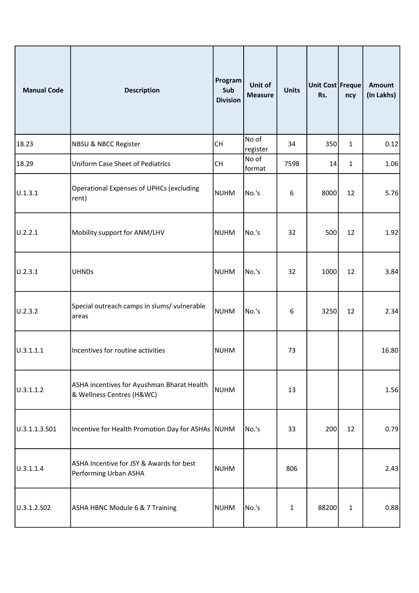| <b>Manual Code</b> | <b>Description</b>                                                      | Program<br>Sub<br><b>Division</b> | Unit of<br><b>Measure</b> | <b>Units</b> | Unit Cost Freque<br>Rs. | ncy          | <b>Amount</b><br>(In Lakhs) |
|--------------------|-------------------------------------------------------------------------|-----------------------------------|---------------------------|--------------|-------------------------|--------------|-----------------------------|
| 18.23              | <b>NBSU &amp; NBCC Register</b>                                         | <b>CH</b>                         | No of<br>register         | 34           | 350                     | $\mathbf{1}$ | 0.12                        |
| 18.29              | <b>Uniform Case Sheet of Pediatrics</b>                                 | <b>CH</b>                         | No of<br>format           | 7598         | 14                      | $\mathbf{1}$ | 1.06                        |
| U.1.3.1            | <b>Operational Expenses of UPHCs (excluding</b><br>rent)                | NUHM                              | No.'s                     | 6            | 8000                    | 12           | 5.76                        |
| U.2.2.1            | Mobility support for ANM/LHV                                            | NUHM                              | No.'s                     | 32           | 500                     | 12           | 1.92                        |
| U.2.3.1            | <b>UHNDs</b>                                                            | NUHM                              | No.'s                     | 32           | 1000                    | 12           | 3.84                        |
| U.2.3.2            | Special outreach camps in slums/ vulnerable<br>areas                    | <b>NUHM</b>                       | No.'s                     | 6            | 3250                    | 12           | 2.34                        |
| 0.3.1.1.1          | Incentives for routine activities                                       | NUHM                              |                           | 73           |                         |              | 16.80                       |
| U.3.1.1.2          | ASHA incentives for Ayushman Bharat Health<br>& Wellness Centres (H&WC) | <b>NUHM</b>                       |                           | 13           |                         |              | 1.56                        |
| U.3.1.1.3.S01      | Incentive for Health Promotion Day for ASHAs NUHM                       |                                   | No.'s                     | 33           | 200                     | 12           | 0.79                        |
| 0.3.1.1.4          | ASHA Incentive for JSY & Awards for best<br>Performing Urban ASHA       | <b>NUHM</b>                       |                           | 806          |                         |              | 2.43                        |
| U.3.1.2.S02        | ASHA HBNC Module 6 & 7 Training                                         | NUHM                              | No.'s                     | 1            | 88200                   | 1            | 0.88                        |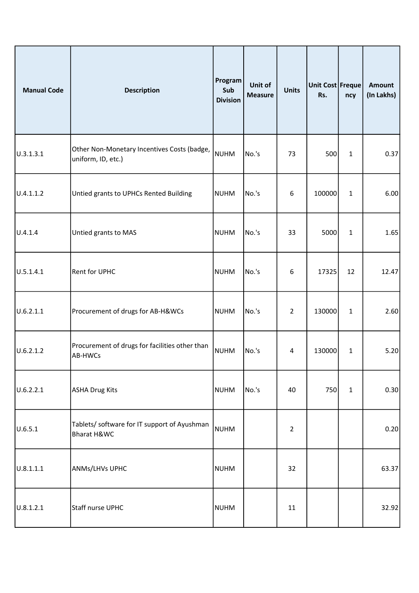| <b>Manual Code</b> | <b>Description</b>                                                | Program<br>Sub<br><b>Division</b> | Unit of<br><b>Measure</b> | <b>Units</b>   | Unit Cost Freque<br>Rs. | ncy          | <b>Amount</b><br>(In Lakhs) |
|--------------------|-------------------------------------------------------------------|-----------------------------------|---------------------------|----------------|-------------------------|--------------|-----------------------------|
| U.3.1.3.1          | Other Non-Monetary Incentives Costs (badge,<br>uniform, ID, etc.) | <b>NUHM</b>                       | No.'s                     | 73             | 500                     | $\mathbf{1}$ | 0.37                        |
| U.4.1.1.2          | Untied grants to UPHCs Rented Building                            | <b>NUHM</b>                       | No.'s                     | 6              | 100000                  | 1            | 6.00                        |
| U.4.1.4            | Untied grants to MAS                                              | <b>NUHM</b>                       | No.'s                     | 33             | 5000                    | $\mathbf{1}$ | 1.65                        |
| U.5.1.4.1          | Rent for UPHC                                                     | <b>NUHM</b>                       | No.'s                     | 6              | 17325                   | 12           | 12.47                       |
| U.6.2.1.1          | Procurement of drugs for AB-H&WCs                                 | <b>NUHM</b>                       | No.'s                     | 2              | 130000                  | $\mathbf{1}$ | 2.60                        |
| U.6.2.1.2          | Procurement of drugs for facilities other than<br>AB-HWCs         | NUHM                              | No.'s                     | 4              | 130000                  | $\mathbf{1}$ | 5.20                        |
| U.6.2.2.1          | ASHA Drug Kits                                                    | <b>NUHM</b>                       | No.'s                     | 40             | 750                     | $\mathbf{1}$ | 0.30                        |
| U.6.5.1            | Tablets/ software for IT support of Ayushman<br>Bharat H&WC       | <b>NUHM</b>                       |                           | $\overline{2}$ |                         |              | 0.20                        |
| 0.8.1.1.1          | <b>ANMs/LHVs UPHC</b>                                             | <b>NUHM</b>                       |                           | 32             |                         |              | 63.37                       |
| U.8.1.2.1          | Staff nurse UPHC                                                  | NUHM                              |                           | 11             |                         |              | 32.92                       |